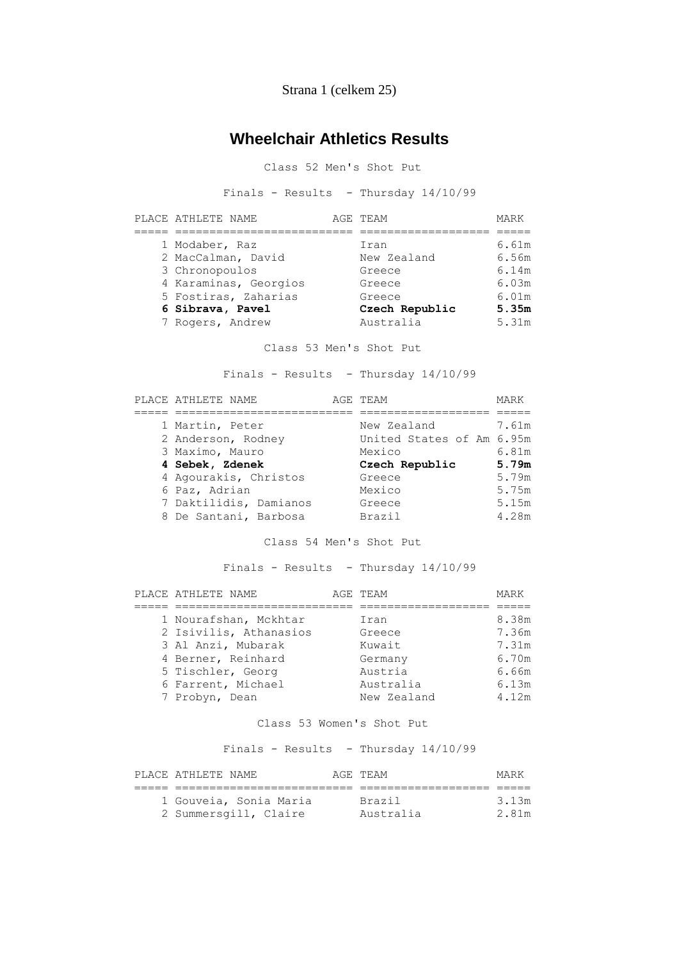Strana 1 (celkem 25)

# **Wheelchair Athletics Results**

Class 52 Men's Shot Put

Finals - Results - Thursday 14/10/99

| PLACE ATHLETE NAME    | AGE TEAM       | MARK  |
|-----------------------|----------------|-------|
|                       |                |       |
| 1 Modaber, Raz        | Iran           | 6.61m |
| 2 MacCalman, David    | New Zealand    | 6.56m |
| 3 Chronopoulos        | Greece         | 6.14m |
| 4 Karaminas, Georgios | Greece         | 6.03m |
| 5 Fostiras, Zaharias  | Greece         | 6.01m |
| 6 Sibrava, Pavel      | Czech Republic | 5.35m |
| 7 Rogers, Andrew      | Australia      | 5.31m |

Class 53 Men's Shot Put

Finals - Results - Thursday 14/10/99

| PLACE ATHLETE NAME     | AGE TEAM                  | MARK  |
|------------------------|---------------------------|-------|
|                        |                           |       |
| 1 Martin, Peter        | New Zealand               | 7.61m |
| 2 Anderson, Rodney     | United States of Am 6.95m |       |
| 3 Maximo, Mauro        | Mexico                    | 6.81m |
| 4 Sebek, Zdenek        | Czech Republic            | 5.79m |
| 4 Agourakis, Christos  | Greece                    | 5.79m |
| 6 Paz, Adrian          | Mexico                    | 5.75m |
| 7 Daktilidis, Damianos | Greece                    | 5.15m |
| 8 De Santani, Barbosa  | Brazil                    | 4.28m |

Class 54 Men's Shot Put

Finals - Results - Thursday 14/10/99

| PLACE ATHLETE NAME     | AGE TEAM    | MARK  |
|------------------------|-------------|-------|
|                        |             |       |
| 1 Nourafshan, Mckhtar  | Iran        | 8.38m |
| 2 Isivilis, Athanasios | Greece      | 7.36m |
| 3 Al Anzi, Mubarak     | Kuwait      | 7.31m |
| 4 Berner, Reinhard     | Germany     | 6.70m |
| 5 Tischler, Georg      | Austria     | 6.66m |
| 6 Farrent, Michael     | Australia   | 6.13m |
| 7 Probyn, Dean         | New Zealand | 4.12m |

#### Class 53 Women's Shot Put

Finals - Results - Thursday 14/10/99

| PLACE ATHLETE NAME     | AGE TEAM  | MARK  |
|------------------------|-----------|-------|
|                        |           |       |
| 1 Gouveia, Sonia Maria | Brazil    | 3.13m |
| 2 Summersgill, Claire  | Australia | 2.81m |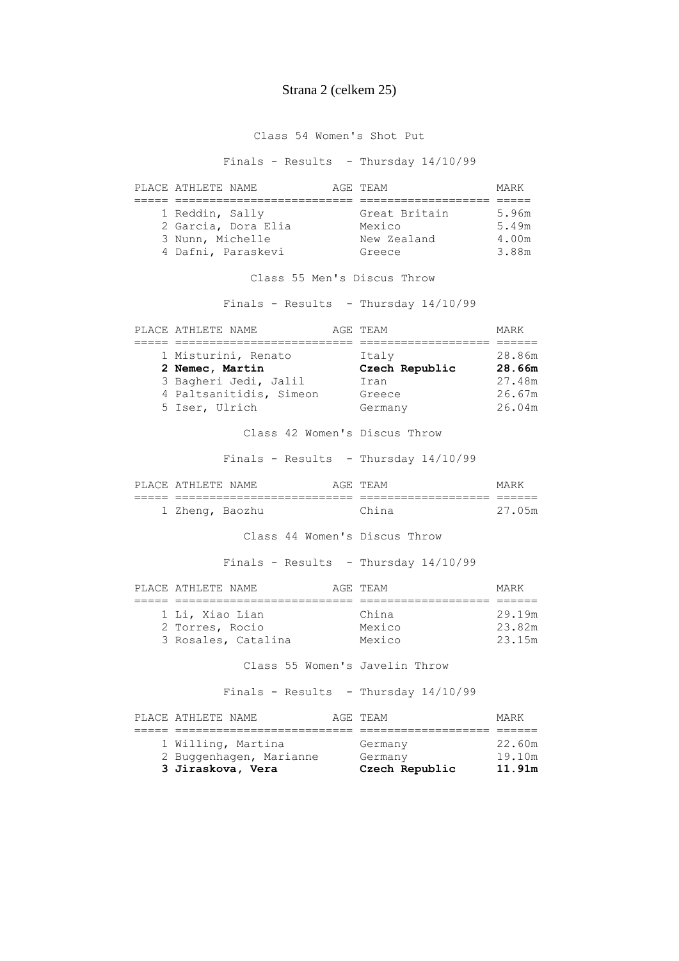### Strana 2 (celkem 25)

Class 54 Women's Shot Put

Finals - Results - Thursday 14/10/99

| PLACE ATHLETE NAME |                     | AGE TEAM      | MARK  |
|--------------------|---------------------|---------------|-------|
|                    |                     |               |       |
| 1 Reddin, Sally    |                     | Great Britain | 5.96m |
|                    | 2 Garcia, Dora Elia | Mexico        | 5.49m |
| 3 Nunn, Michelle   |                     | New Zealand   | 4.00m |
|                    | 4 Dafni, Paraskevi  | Greece        | 3.88m |

Class 55 Men's Discus Throw

Finals - Results - Thursday 14/10/99

| PLACE ATHLETE NAME      | AGE TEAM       | MARK   |
|-------------------------|----------------|--------|
|                         |                |        |
| 1 Misturini, Renato     | Italy          | 28.86m |
| 2 Nemec, Martin         | Czech Republic | 28.66m |
| 3 Bagheri Jedi, Jalil   | Iran           | 27.48m |
| 4 Paltsanitidis, Simeon | Greece         | 26.67m |
| 5 Iser, Ulrich          | Germany        | 26.04m |

Class 42 Women's Discus Throw

Finals - Results - Thursday 14/10/99

| PT.ACF.                   | A THIRTE               | NAME.                | ∆ (≟н: | TF.AM            | MA DT         |
|---------------------------|------------------------|----------------------|--------|------------------|---------------|
| ____<br>__<br>_____<br>__ |                        | ____________________ | ____   | ________________ |               |
|                           | 7.h≏nα<br><b>ANGIN</b> | , Baozhu             |        | Phin             | $27-$<br>(15m |

Class 44 Women's Discus Throw

Finals - Results - Thursday 14/10/99

| PLACE ATHLETE NAME  | AGE TEAM | MARK   |
|---------------------|----------|--------|
|                     |          |        |
| 1 Li, Xiao Lian     | China    | 29.19m |
| 2 Torres, Rocio     | Mexico   | 23.82m |
| 3 Rosales, Catalina | Mexico   | 23.15m |

Class 55 Women's Javelin Throw

Finals - Results - Thursday 14/10/99

| PLACE ATHLETE NAME      | AGE TEAM       | MARK   |
|-------------------------|----------------|--------|
|                         |                |        |
| 1 Willing, Martina      | Germany        | 22.60m |
| 2 Buggenhagen, Marianne | Germany        | 19.10m |
| 3 Jiraskova, Vera       | Czech Republic | 11.91m |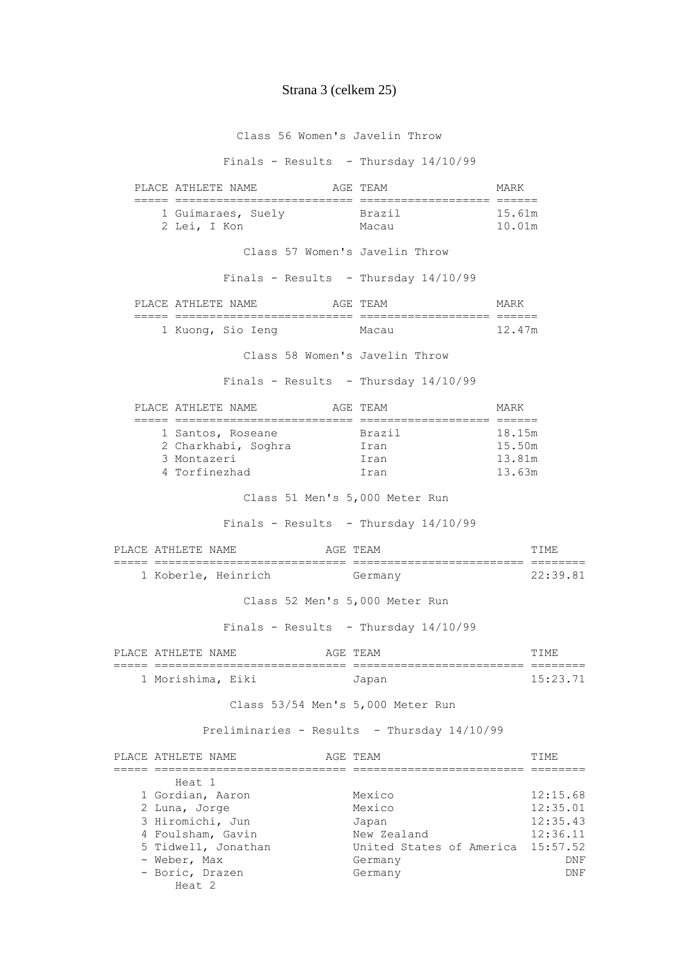## Strana 3 (celkem 25)

Class 56 Women's Javelin Throw

Finals - Results - Thursday 14/10/99

| PLACE ATHLETE NAME                                                                     | AGE TEAM                                    | MARK                                                     |
|----------------------------------------------------------------------------------------|---------------------------------------------|----------------------------------------------------------|
| ;====  =============================  ==;<br>1 Guimaraes, Suely Brazil<br>2 Lei, I Kon | Macau                                       | ==================<br>15.61m<br>10.01m                   |
|                                                                                        | Class 57 Women's Javelin Throw              |                                                          |
|                                                                                        | Finals - Results - Thursday $14/10/99$      |                                                          |
| PLACE ATHLETE NAME                                                                     | AGE TEAM                                    | MARK                                                     |
| 1 Kuong, Sio Ieng                                                                      | Macau                                       | 12.47m                                                   |
|                                                                                        | Class 58 Women's Javelin Throw              |                                                          |
|                                                                                        | Finals - Results - Thursday 14/10/99        |                                                          |
| PLACE ATHLETE NAME                                                                     | AGE TEAM                                    | MARK                                                     |
| 1 Santos, Roseane<br>2 Charkhabi, Soghra (Iran<br>3 Montazeri<br>4 Torfinezhad         | Brazil<br>Iran<br>Iran                      | ================<br>18.15m<br>15.50m<br>13.81m<br>13.63m |
|                                                                                        | Class 51 Men's 5,000 Meter Run              |                                                          |
|                                                                                        | Finals - Results - Thursday 14/10/99        |                                                          |
| PLACE ATHLETE NAME                                                                     | AGE TEAM                                    | TIME                                                     |
| 1 Koberle, Heinrich                                                                    | Germany                                     | 22:39.81                                                 |
|                                                                                        | Class 52 Men's 5,000 Meter Run              |                                                          |
|                                                                                        | Finals - Results - Thursday $14/10/99$      |                                                          |
| PLACE ATHLETE NAME                                                                     | AGE TEAM                                    | TIME                                                     |
| --------------<br>1 Morishima, Eiki                                                    | Japan                                       | 15:23.71                                                 |
|                                                                                        | Class 53/54 Men's 5,000 Meter Run           |                                                          |
|                                                                                        | Preliminaries - Results - Thursday 14/10/99 |                                                          |
| PLACE ATHLETE NAME                                                                     | AGE TEAM                                    | TIME                                                     |
| ----- -----------<br>Heat 1                                                            | ========================                    |                                                          |
| 1 Gordian, Aaron<br>2 Luna, Jorge<br>3 Hiromichi, Jun                                  | Mexico<br>Mexico<br>Japan                   | 12:15.68<br>12:35.01<br>12:35.43                         |
| 4 Foulsham, Gavin<br>5 Tidwell, Jonathan<br>- Weber, Max                               | New Zealand<br>Germany                      | 12:36.11<br>15:57.52<br>United States of America<br>DNF  |

- Boric, Drazen Germany Germany DNF

Heat 2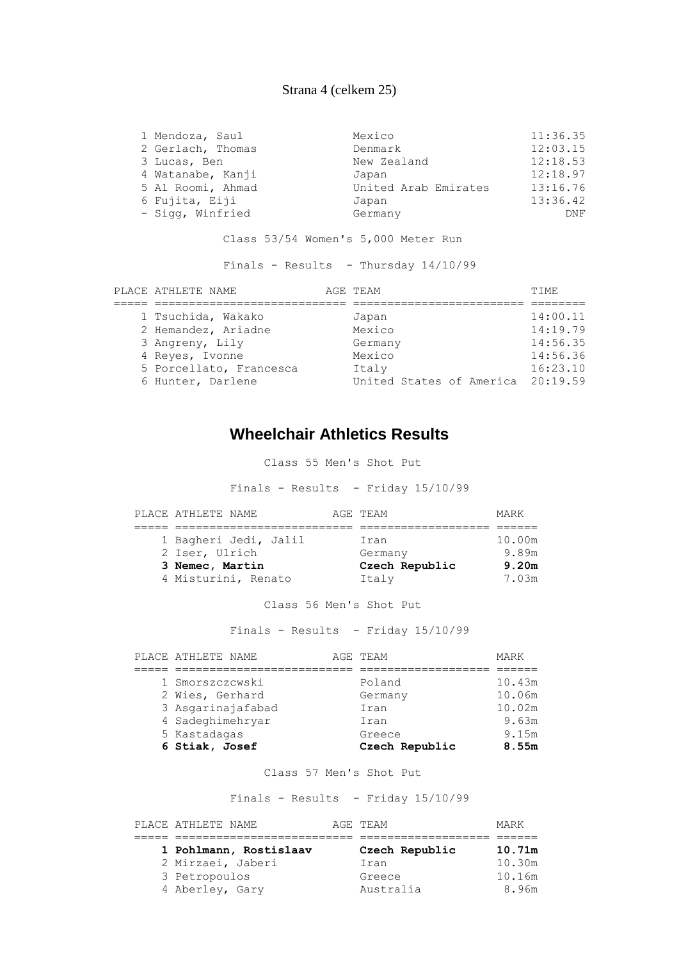### Strana 4 (celkem 25)

| 1 Mendoza, Saul   | Mexico               | 11:36.35 |
|-------------------|----------------------|----------|
| 2 Gerlach, Thomas | Denmark              | 12:03.15 |
| 3 Lucas, Ben      | New Zealand          | 12:18.53 |
| 4 Watanabe, Kanji | Japan                | 12:18.97 |
| 5 Al Roomi, Ahmad | United Arab Emirates | 13:16.76 |
| 6 Fujita, Eiji    | Japan                | 13:36.42 |
| - Sigg, Winfried  | Germany              | DNF      |

Class 53/54 Women's 5,000 Meter Run

Finals - Results - Thursday 14/10/99

| PLACE ATHLETE NAME      | AGE TEAM                          | TTME.    |
|-------------------------|-----------------------------------|----------|
|                         |                                   |          |
| 1 Tsuchida, Wakako      | Japan                             | 14:00.11 |
| 2 Hemandez, Ariadne     | Mexico                            | 14:19.79 |
| 3 Angreny, Lily         | Germany                           | 14:56.35 |
| 4 Reyes, Ivonne         | Mexico                            | 14:56.36 |
| 5 Porcellato, Francesca | Italy                             | 16:23.10 |
| 6 Hunter, Darlene       | United States of America 20:19.59 |          |

## **Wheelchair Athletics Results**

Class 55 Men's Shot Put

Finals - Results - Friday 15/10/99

| PLACE ATHLETE NAME    | AGE TEAM       | MARK   |
|-----------------------|----------------|--------|
|                       |                |        |
| 1 Bagheri Jedi, Jalil | Iran           | 10.00m |
| 2 Iser, Ulrich        | Germany        | 9.89m  |
| 3 Nemec, Martin       | Czech Republic | 9.20m  |
| 4 Misturini, Renato   | Italy          | 7.03m  |

Class 56 Men's Shot Put

Finals - Results - Friday 15/10/99

| PLACE ATHLETE NAME | AGE TEAM       | MARK   |
|--------------------|----------------|--------|
|                    |                |        |
| 1 Smorszczcwski    | Poland         | 10.43m |
| 2 Wies, Gerhard    | Germany        | 10.06m |
| 3 Asgarinajafabad  | Iran           | 10.02m |
| 4 Sadeghimehryar   | Iran           | 9.63m  |
| 5 Kastadagas       | Greece         | 9.15m  |
| 6 Stiak, Josef     | Czech Republic | 8.55m  |

Class 57 Men's Shot Put

Finals - Results - Friday 15/10/99

| PLACE ATHLETE NAME     | AGE TEAM       | MARK   |
|------------------------|----------------|--------|
|                        |                |        |
| 1 Pohlmann, Rostislaav | Czech Republic | 10.71m |
| 2 Mirzaei, Jaberi      | Iran           | 10.30m |
| 3 Petropoulos          | Greece         | 10.16m |
| 4 Aberley, Gary        | Australia      | 8.96m  |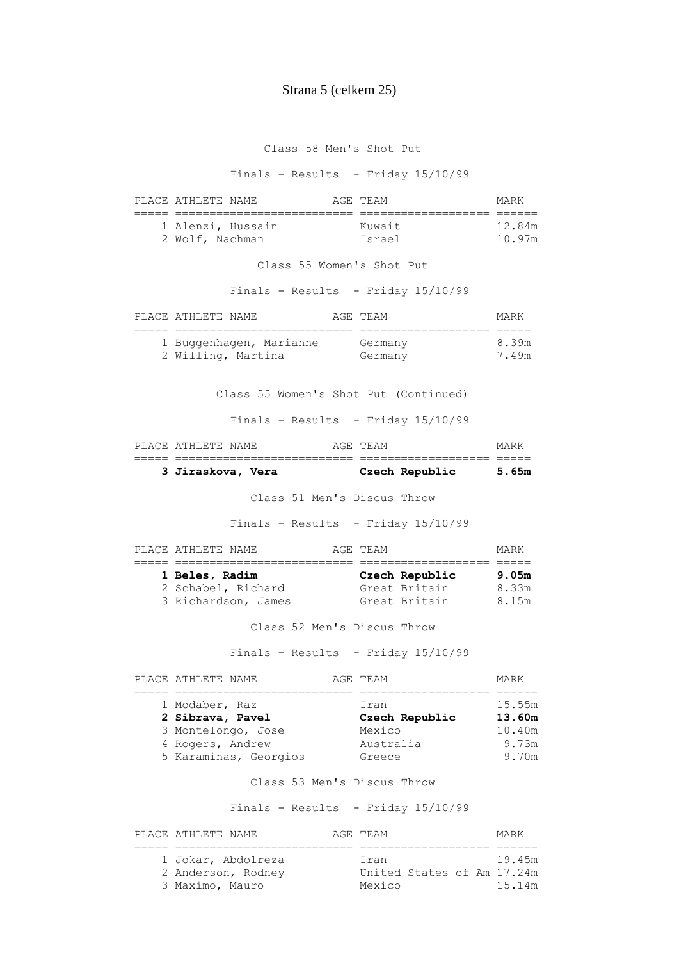### Strana 5 (celkem 25)

Class 58 Men's Shot Put

Finals - Results - Friday 15/10/99

| PLACE ATHLETE NAME                   |  | AGE TEAM         | MARK             |
|--------------------------------------|--|------------------|------------------|
|                                      |  |                  |                  |
| 1 Alenzi, Hussain<br>2 Wolf, Nachman |  | Kuwait<br>Israel | 12.84m<br>10.97m |

Class 55 Women's Shot Put

Finals - Results - Friday 15/10/99

| PLACE ATHLETE NAME                            | AGE TEAM           | MARK           |
|-----------------------------------------------|--------------------|----------------|
|                                               |                    |                |
| 1 Buggenhagen, Marianne<br>2 Willing, Martina | Germany<br>Germany | 8.39m<br>7.49m |

Class 55 Women's Shot Put (Continued)

Finals - Results - Friday 15/10/99

| PLACE ATHLETE NAME |  | AGE TEAM       | MARK  |
|--------------------|--|----------------|-------|
|                    |  |                |       |
| 3 Jiraskova, Vera  |  | Czech Republic | 5.65m |

Class 51 Men's Discus Throw

Finals - Results - Friday 15/10/99

| PLACE ATHLETE NAME  | AGE TEAM |                | MARK  |
|---------------------|----------|----------------|-------|
|                     |          |                |       |
| 1 Beles, Radim      |          | Czech Republic | 9.05m |
| 2 Schabel, Richard  |          | Great Britain  | 8.33m |
| 3 Richardson, James |          | Great Britain  | 8.15m |

Class 52 Men's Discus Throw

Finals - Results - Friday 15/10/99

|  | PLACE ATHLETE NAME    | AGE TEAM       | MARK   |
|--|-----------------------|----------------|--------|
|  |                       |                |        |
|  | 1 Modaber, Raz        | Iran           | 15.55m |
|  | 2 Sibrava, Pavel      | Czech Republic | 13.60m |
|  | 3 Montelongo, Jose    | Mexico         | 10.40m |
|  | 4 Rogers, Andrew      | Australia      | 9.73m  |
|  | 5 Karaminas, Georgios | Greece         | 9.70m  |
|  |                       |                |        |

#### Class 53 Men's Discus Throw

Finals - Results - Friday 15/10/99

| PLACE ATHLETE NAME | AGE TEAM                   | MARK   |
|--------------------|----------------------------|--------|
|                    |                            |        |
| 1 Jokar, Abdolreza | Iran                       | 19 45m |
| 2 Anderson, Rodney | United States of Am 17.24m |        |
| 3 Maximo, Mauro    | Mexico                     | 15.14m |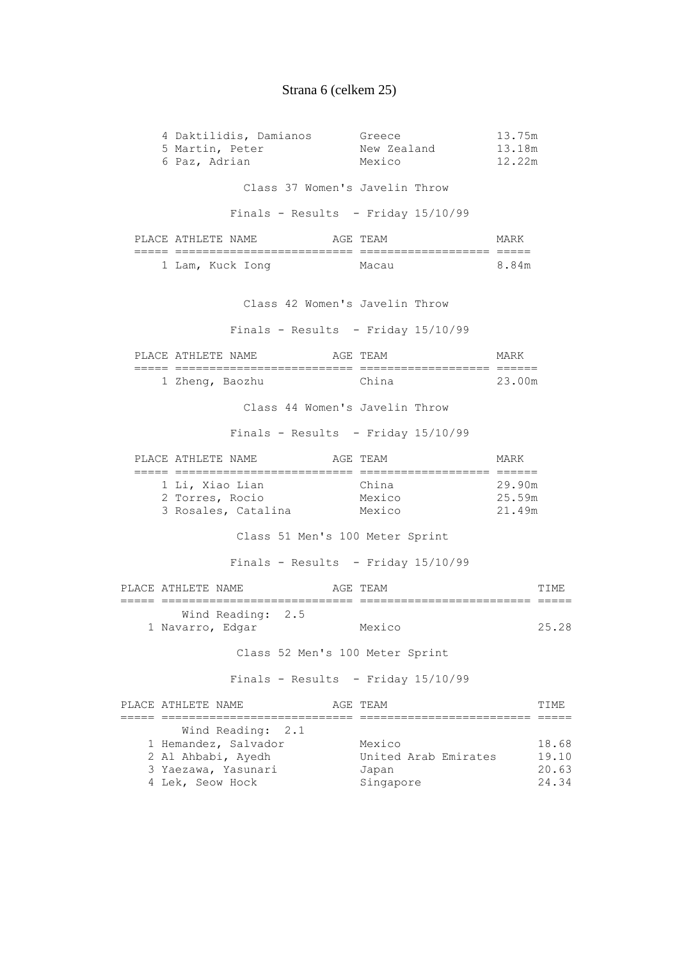# Strana 6 (celkem 25)

| 4 Daktilidis, Damianos<br>5 Martin, Peter<br>6 Paz, Adrian  |       | Greece<br>New Zealand 13.18m<br>Mexico | 13.75m<br>12.22m           |                |
|-------------------------------------------------------------|-------|----------------------------------------|----------------------------|----------------|
|                                                             |       | Class 37 Women's Javelin Throw         |                            |                |
|                                                             |       | Finals - Results - Friday $15/10/99$   |                            |                |
|                                                             |       |                                        |                            |                |
| PLACE ATHLETE NAME                                          |       | AGE TEAM                               | MARK                       |                |
| 1 Lam, Kuck Iong                                            | Macau |                                        | 8.84m                      |                |
|                                                             |       | Class 42 Women's Javelin Throw         |                            |                |
|                                                             |       | Finals - Results - Friday 15/10/99     |                            |                |
| PLACE ATHLETE NAME                                          |       | AGE TEAM                               | MARK                       |                |
| 1 Zheng, Baozhu                                             |       | China                                  | 23.00m                     |                |
|                                                             |       | Class 44 Women's Javelin Throw         |                            |                |
|                                                             |       | Finals - Results - Friday 15/10/99     |                            |                |
| PLACE ATHLETE NAME                                          |       | AGE TEAM                               | MARK                       |                |
| 1 Li, Xiao Lian<br>2 Torres, Rocio<br>3 Rosales, Catalina   |       | China<br>Mexico<br>Mexico              | 29.90m<br>25.59m<br>21.49m |                |
|                                                             |       | Class 51 Men's 100 Meter Sprint        |                            |                |
|                                                             |       | Finals - Results - Friday 15/10/99     |                            |                |
| PLACE ATHLETE NAME                                          |       | AGE TEAM                               |                            | TIME           |
| Wind Reading: 2.5<br>1 Navarro, Edgar                       |       | Mexico                                 |                            | 25.28          |
|                                                             |       | Class 52 Men's 100 Meter Sprint        |                            |                |
|                                                             |       | Finals - Results - Friday 15/10/99     |                            |                |
| PLACE ATHLETE NAME<br>______ ______________________________ |       | AGE TEAM                               |                            | TIME           |
| Wind Reading:                                               | 2.1   |                                        |                            |                |
| 1 Hemandez, Salvador                                        |       | Mexico                                 |                            | 18.68          |
| 2 Al Ahbabi, Ayedh<br>3 Yaezawa, Yasunari                   |       | United Arab Emirates<br>Japan          |                            | 19.10<br>20.63 |
| 4 Lek, Seow Hock                                            |       | Singapore                              |                            | 24.34          |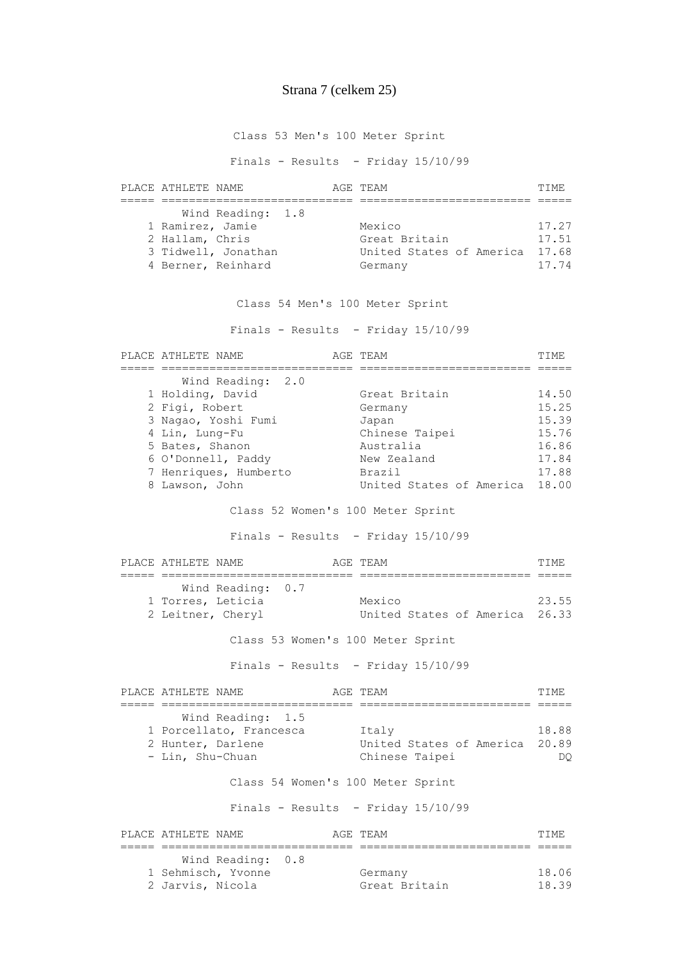## Strana 7 (celkem 25)

Class 53 Men's 100 Meter Sprint

Finals - Results - Friday 15/10/99

| PLACE ATHLETE NAME                  |                                                                |  | AGE TEAM                                                       | TTMF.                            |
|-------------------------------------|----------------------------------------------------------------|--|----------------------------------------------------------------|----------------------------------|
| 1 Ramirez, Jamie<br>2 Hallam, Chris | Wind Reading: 1.8<br>3 Tidwell, Jonathan<br>4 Berner, Reinhard |  | Mexico<br>Great Britain<br>United States of America<br>Germany | 17.27<br>17.51<br>17.68<br>17.74 |

Class 54 Men's 100 Meter Sprint

Finals - Results - Friday 15/10/99

| PLACE ATHLETE NAME                    |                | AGE TEAM                             |  |
|---------------------------------------|----------------|--------------------------------------|--|
| Wind Reading: 2.0                     |                |                                      |  |
| 1 Holding, David                      |                | Great Britain                        |  |
| 2 Figi, Robert                        |                | Germany                              |  |
| 3 Nagao, Yoshi Fumi                   |                | Japan                                |  |
| 4 Lin, Lung-Fu                        |                | Chinese Taipei                       |  |
| 5 Bates, Shanon                       |                | Australia                            |  |
| 6 O'Donnell, Paddy                    |                | New Zealand                          |  |
| 7 Henriques, Humberto                 |                | <b>Brazil</b>                        |  |
| 8 Lawson, John                        |                | United States of America 18.00       |  |
|                                       |                | Class 52 Women's 100 Meter Sprint    |  |
|                                       |                | Finals - Results - Friday $15/10/99$ |  |
| PLACE ATHLETE NAME                    |                | AGE TEAM<br>------- -------          |  |
| Wind Reading: 0.7                     |                |                                      |  |
| 1 Torres, Leticia                     |                | Mexico                               |  |
|                                       |                |                                      |  |
| 2 Leitner, Cheryl                     |                | United States of America 26.33       |  |
|                                       |                | Class 53 Women's 100 Meter Sprint    |  |
|                                       |                | Finals - Results - Friday $15/10/99$ |  |
| PLACE ATHLETE NAME                    |                | AGE TEAM                             |  |
|                                       | --------- ---- |                                      |  |
| Wind Reading: 1.5                     |                | Italy                                |  |
| 1 Porcellato, Francesca               |                | United States of America 20.89       |  |
| 2 Hunter, Darlene<br>- Lin, Shu-Chuan |                | Chinese Taipei                       |  |
|                                       |                | Class 54 Women's 100 Meter Sprint    |  |
|                                       |                | Finals - Results - Friday 15/10/99   |  |

 1 Sehmisch, Yvonne Germany 18.06 2 Jarvis, Nicola Great Britain 18.39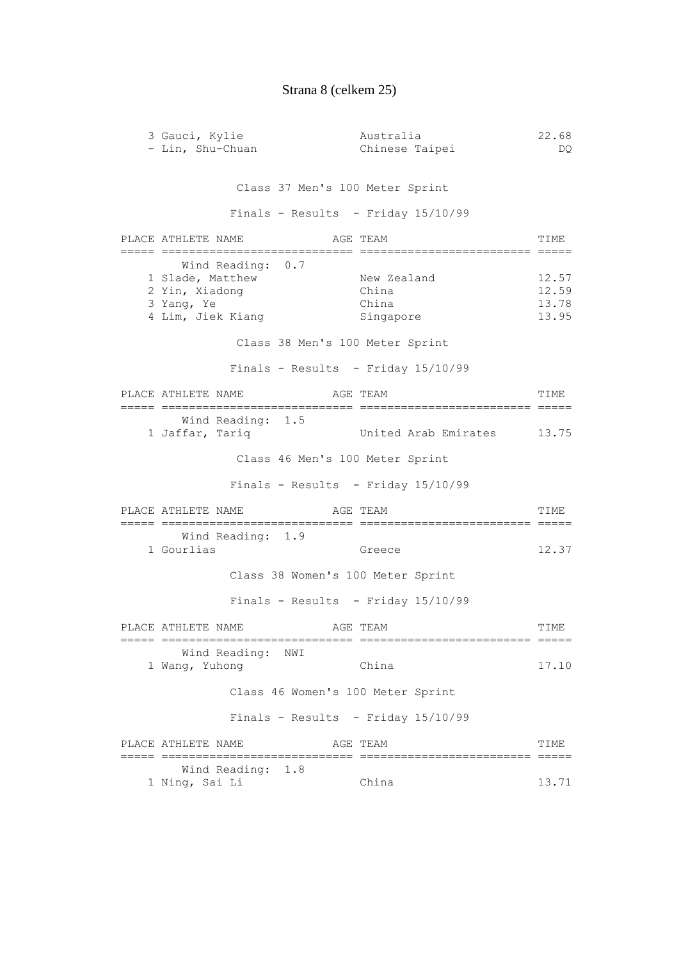# Strana 8 (celkem 25)

| 3 Gauci, Kylie<br>- Lin, Shu-Chuan                                                         | Australia<br>Chinese Taipei                | 22.68<br>DQ.                     |
|--------------------------------------------------------------------------------------------|--------------------------------------------|----------------------------------|
|                                                                                            | Class 37 Men's 100 Meter Sprint            |                                  |
|                                                                                            | Finals - Results - Friday $15/10/99$       |                                  |
| PLACE ATHLETE NAME                                                                         | AGE TEAM                                   | TIME                             |
| Wind Reading: 0.7<br>1 Slade, Matthew<br>2 Yin, Xiadong<br>3 Yang, Ye<br>4 Lim, Jiek Kiang | New Zealand<br>China<br>China<br>Singapore | 12.57<br>12.59<br>13.78<br>13.95 |
|                                                                                            | Class 38 Men's 100 Meter Sprint            |                                  |
|                                                                                            | Finals - Results - Friday $15/10/99$       |                                  |
| PLACE ATHLETE NAME                                                                         | AGE TEAM                                   | TIME                             |
| Wind Reading: 1.5<br>1 Jaffar, Tariq                                                       | United Arab Emirates 13.75                 |                                  |
|                                                                                            | Class 46 Men's 100 Meter Sprint            |                                  |
|                                                                                            | Finals - Results - Friday 15/10/99         |                                  |
| PLACE ATHLETE NAME                                                                         | AGE TEAM                                   | TIME                             |
| Wind Reading: 1.9<br>1 Gourlias                                                            | Greece                                     | 12.37                            |
|                                                                                            | Class 38 Women's 100 Meter Sprint          |                                  |
|                                                                                            | Finals - Results - Friday 15/10/99         |                                  |
| PLACE ATHLETE NAME                                                                         | AGE TEAM<br>========<br>================== | TIME                             |
| Wind Reading: NWI<br>1 Wang, Yuhong                                                        | China                                      | 17.10                            |
|                                                                                            | Class 46 Women's 100 Meter Sprint          |                                  |
|                                                                                            | Finals - Results - Friday $15/10/99$       |                                  |
| PLACE ATHLETE NAME                                                                         | AGE TEAM<br>===========================    | TIME                             |
| Wind Reading: 1.8<br>1 Ning, Sai Li                                                        | China                                      | 13.71                            |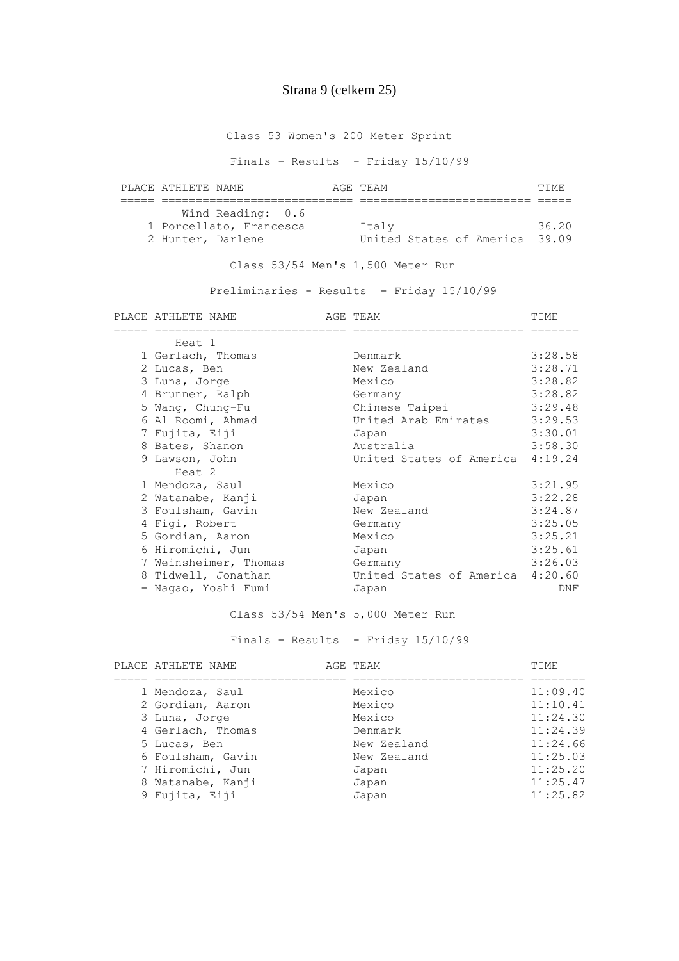## Strana 9 (celkem 25)

Class 53 Women's 200 Meter Sprint

Finals - Results - Friday 15/10/99

| PLACE ATHLETE NAME      |                   | AGE TEAM |                                | TTME. |
|-------------------------|-------------------|----------|--------------------------------|-------|
|                         |                   |          |                                |       |
|                         | Wind Reading: 0.6 |          |                                |       |
| 1 Porcellato, Francesca |                   | Italy    |                                | 36.20 |
| 2 Hunter, Darlene       |                   |          | United States of America 39.09 |       |

Class 53/54 Men's 1,500 Meter Run

Preliminaries - Results - Friday 15/10/99

| PLACE ATHLETE NAME    | AGE TEAM                         | TIME       |
|-----------------------|----------------------------------|------------|
|                       |                                  |            |
| Heat 1                |                                  |            |
| 1 Gerlach, Thomas     | Denmark                          | 3:28.58    |
| 2 Lucas, Ben          | New Zealand                      | 3:28.71    |
| 3 Luna, Jorge         | Mexico                           | 3:28.82    |
| 4 Brunner, Ralph      | Germany                          | 3:28.82    |
| 5 Wang, Chung-Fu      | Chinese Taipei                   | 3:29.48    |
| 6 Al Roomi, Ahmad     | United Arab Emirates             | 3:29.53    |
| 7 Fujita, Eiji        | Japan                            | 3:30.01    |
| 8 Bates, Shanon       | Australia                        | 3:58.30    |
| 9 Lawson, John        | United States of America 4:19.24 |            |
| Heat 2                |                                  |            |
| 1 Mendoza, Saul       | Mexico                           | 3:21.95    |
| 2 Watanabe, Kanji     | Japan                            | 3:22.28    |
| 3 Foulsham, Gavin     | New Zealand                      | 3:24.87    |
| 4 Figi, Robert        | Germany                          | 3:25.05    |
| 5 Gordian, Aaron      | Mexico                           | 3:25.21    |
| 6 Hiromichi, Jun      | Japan                            | 3:25.61    |
| 7 Weinsheimer, Thomas | Germany                          | 3:26.03    |
| 8 Tidwell, Jonathan   | United States of America 4:20.60 |            |
| - Nagao, Yoshi Fumi   | Japan                            | <b>DNF</b> |

### Class 53/54 Men's 5,000 Meter Run

Finals - Results - Friday 15/10/99

| PLACE ATHLETE NAME | AGE TEAM    | TIME     |
|--------------------|-------------|----------|
|                    |             |          |
| 1 Mendoza, Saul    | Mexico      | 11:09.40 |
| 2 Gordian, Aaron   | Mexico      | 11:10.41 |
| 3 Luna, Jorge      | Mexico      | 11:24.30 |
| 4 Gerlach, Thomas  | Denmark     | 11:24.39 |
| 5 Lucas, Ben       | New Zealand | 11:24.66 |
| 6 Foulsham, Gavin  | New Zealand | 11:25.03 |
| 7 Hiromichi, Jun   | Japan       | 11:25.20 |
| 8 Watanabe, Kanji  | Japan       | 11:25.47 |
| 9 Fujita, Eiji     | Japan       | 11:25.82 |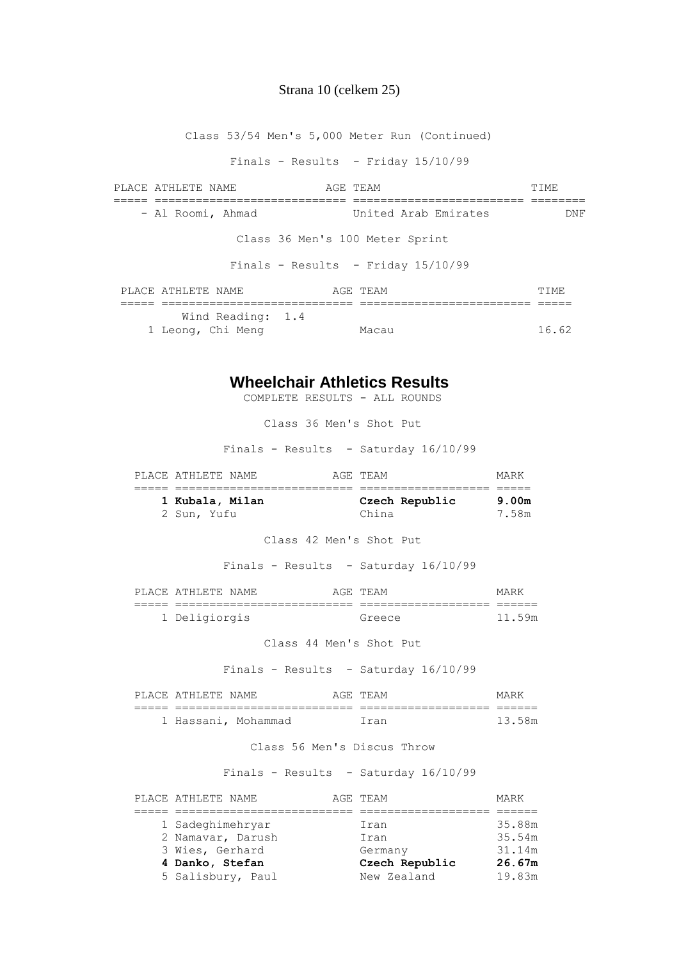#### Strana 10 (celkem 25)

Class 53/54 Men's 5,000 Meter Run (Continued) Finals - Results - Friday 15/10/99 PLACE ATHLETE NAME AGE TEAM AGE TEAM TIME ===== ============================ ========================= ======== - Al Roomi, Ahmad United Arab Emirates DNF Class 36 Men's 100 Meter Sprint Finals - Results - Friday 15/10/99 PLACE ATHLETE NAME **AGE TEAM AGE TEAM TIME**  ===== ============================ ========================= ===== Wind Reading: 1.4 1 Leong, Chi Meng Macau 16.62

### **Wheelchair Athletics Results**

COMPLETE RESULTS - ALL ROUNDS

Class 36 Men's Shot Put

Finals - Results - Saturday 16/10/99

| PLACE ATHLETE NAME | AGE TEAM       | MARK  |
|--------------------|----------------|-------|
|                    |                |       |
| 1 Kubala, Milan    | Czech Republic | 9.00m |
| 2 Sun, Yufu        | China          | 7.58m |

Class 42 Men's Shot Put

Finals - Results - Saturday 16/10/99

|       | PLACE ATHLETE NAME | AGE TEAM        | MARK   |
|-------|--------------------|-----------------|--------|
| _____ | _______________    | _______________ |        |
|       | 1 Deligiorgis      | Greece          | 11.59m |

Class 44 Men's Shot Put

Finals - Results - Saturday 16/10/99

| PLACE | ATHIRTE | NAME.             | -∆ (≟ н∶ | TF.AM | MADL         |
|-------|---------|-------------------|----------|-------|--------------|
| ____  |         |                   |          |       |              |
|       |         | Hassani, Mohammad |          | rar   | ני ד<br>5 Sm |

#### Class 56 Men's Discus Throw

| PLACE ATHLETE NAME | AGE TEAM       | MARK   |
|--------------------|----------------|--------|
|                    |                |        |
| 1 Sadeghimehryar   | Iran           | 35.88m |
| 2 Namavar, Darush  | Iran           | 35.54m |
| 3 Wies, Gerhard    | Germany        | 31.14m |
| 4 Danko, Stefan    | Czech Republic | 26.67m |
| 5 Salisbury, Paul  | New Zealand    | 19.83m |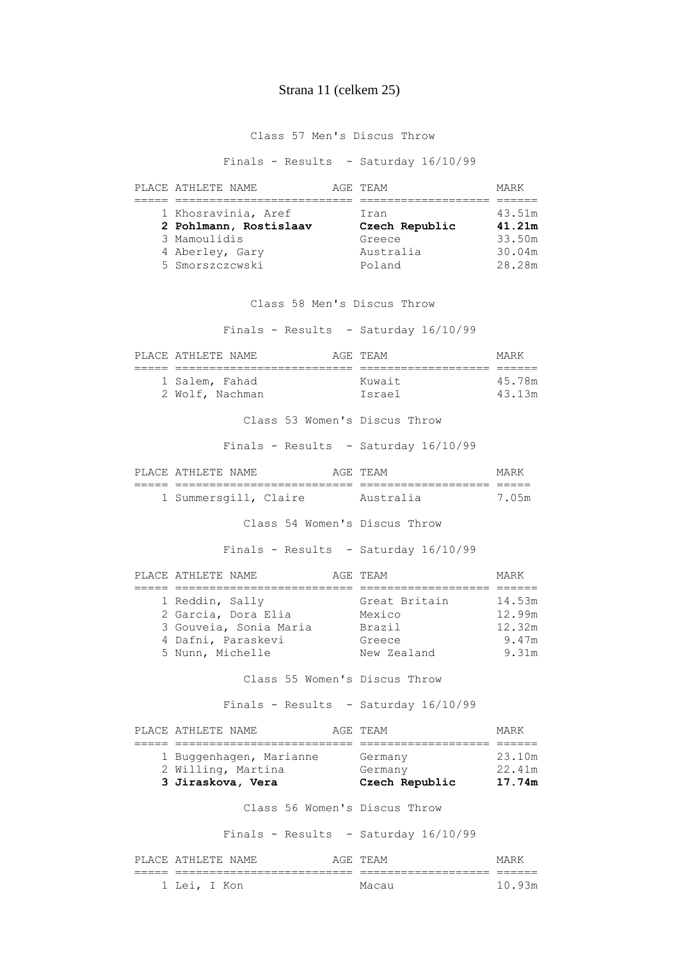## Strana 11 (celkem 25)

Class 57 Men's Discus Throw

Finals - Results - Saturday 16/10/99

| PLACE ATHLETE NAME     |           | MARK                       |
|------------------------|-----------|----------------------------|
|                        |           |                            |
| 1 Khosravinia, Aref    | Iran      | 43.51m                     |
| 2 Pohlmann, Rostislaav |           | 41.21m                     |
| 3 Mamoulidis           | Greece    | 33.50m                     |
| 4 Aberley, Gary        | Australia | 30.04m                     |
| 5 Smorszczcwski        | Poland    | 28.28m                     |
|                        |           | AGE TEAM<br>Czech Republic |

Class 58 Men's Discus Throw

| PLACE ATHLETE NAME <b>AGE TEAM</b>                                                                                       |                                               | MARK                               |
|--------------------------------------------------------------------------------------------------------------------------|-----------------------------------------------|------------------------------------|
| 1 Salem, Fahad<br>2 Wolf, Nachman                                                                                        | Kuwait<br>Israel                              | 45.78m<br>43.13m                   |
| Class 53 Women's Discus Throw                                                                                            |                                               |                                    |
| Finals - Results - Saturday 16/10/99                                                                                     |                                               |                                    |
| PLACE ATHLETE NAME                                                                                                       | AGE TEAM                                      | MARK                               |
| 1 Summersgill, Claire Australia                                                                                          |                                               | 7.05m                              |
| Class 54 Women's Discus Throw                                                                                            |                                               |                                    |
| Finals - Results - Saturday 16/10/99                                                                                     |                                               |                                    |
| PLACE ATHLETE NAME                                                                                                       | AGE TEAM                                      | MARK                               |
| 1 Reddin, Sally<br>2 Garcia, Dora Elia Mexico<br>3 Gouveia, Sonia Maria Brazil<br>4 Dafni, Paraskevi<br>5 Nunn, Michelle | Great Britain 14.53m<br>Greece<br>New Zealand | 12.99m<br>12.32m<br>9.47m<br>9.31m |
| Class 55 Women's Discus Throw                                                                                            |                                               |                                    |
| Finals - Results - Saturday 16/10/99                                                                                     |                                               |                                    |
| PLACE ATHLETE NAME                                                                                                       | AGE TEAM                                      | MARK                               |
| 1 Buggenhagen, Marianne Germany 13.10m<br>2 Willing, Martina Cermany<br>3 Jiraskova, Vera         Czech Republic         |                                               | 22.41m<br>17.74m                   |
| Class 56 Women's Discus Throw                                                                                            |                                               |                                    |
| Finals - Results - Saturday 16/10/99                                                                                     |                                               |                                    |

|              | PLACE ATHLETE NAME | AGE TEAM     | MARK   |
|--------------|--------------------|--------------|--------|
|              | ________________   | ____________ |        |
| 1 Lei, I Kon |                    | Macau        | 10 93m |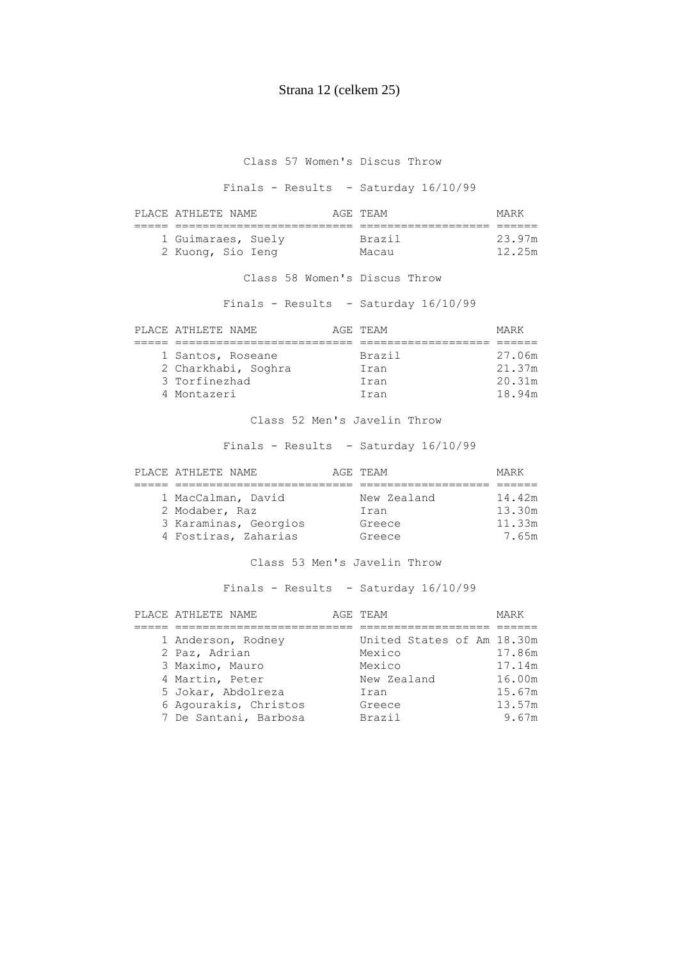## Strana 12 (celkem 25)

Class 57 Women's Discus Throw

Finals - Results - Saturday 16/10/99

| PLACE ATHLETE NAME | AGE TEAM | MARK   |
|--------------------|----------|--------|
|                    |          |        |
| 1 Guimaraes, Suely | Brazil   | 23.97m |
| 2 Kuong, Sio Ieng  | Macau    | 12.25m |

Class 58 Women's Discus Throw

Finals - Results - Saturday 16/10/99

| PLACE ATHLETE NAME  | AGE TEAM | MARK   |
|---------------------|----------|--------|
|                     |          |        |
| 1 Santos, Roseane   | Brazil   | 27.06m |
| 2 Charkhabi, Soghra | Iran     | 21.37m |
| 3 Torfinezhad       | Iran     | 20.31m |
| 4 Montazeri         | Iran     | 18.94m |

Class 52 Men's Javelin Throw

Finals - Results - Saturday 16/10/99

| PLACE ATHLETE NAME    | AGE TEAM    | MARK   |
|-----------------------|-------------|--------|
|                       |             |        |
| 1 MacCalman, David    | New Zealand | 14.42m |
| 2 Modaber, Raz        | Iran        | 13.30m |
| 3 Karaminas, Georgios | Greece      | 11.33m |
| 4 Fostiras, Zaharias  | Greece      | 7.65m  |

### Class 53 Men's Javelin Throw

|  | PLACE ATHLETE NAME    | AGE TEAM                   | MARK   |
|--|-----------------------|----------------------------|--------|
|  |                       |                            |        |
|  | 1 Anderson, Rodney    | United States of Am 18.30m |        |
|  | 2 Paz, Adrian         | Mexico                     | 17.86m |
|  | 3 Maximo, Mauro       | Mexico                     | 17.14m |
|  | 4 Martin, Peter       | New Zealand                | 16.00m |
|  | 5 Jokar, Abdolreza    | Iran                       | 15.67m |
|  | 6 Agourakis, Christos | Greece                     | 13.57m |
|  | 7 De Santani, Barbosa | <b>Brazil</b>              | 9.67m  |
|  |                       |                            |        |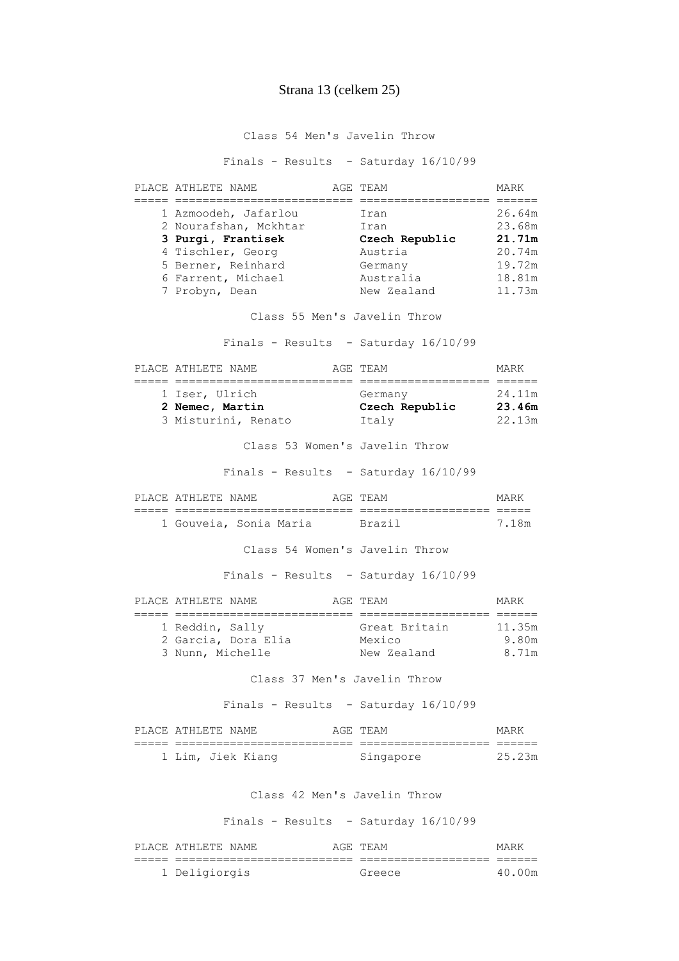### Strana 13 (celkem 25)

Class 54 Men's Javelin Throw

Finals - Results - Saturday 16/10/99

| PLACE ATHLETE NAME    | AGE TEAM       | MARK   |
|-----------------------|----------------|--------|
|                       |                |        |
| 1 Azmoodeh, Jafarlou  | Iran           | 26.64m |
| 2 Nourafshan, Mckhtar | Iran           | 23.68m |
| 3 Purgi, Frantisek    | Czech Republic | 21.71m |
| 4 Tischler, Georg     | Austria        | 20.74m |
| 5 Berner, Reinhard    | Germany        | 19.72m |
| 6 Farrent, Michael    | Australia      | 18.81m |
| 7 Probyn, Dean        | New Zealand    | 11.73m |

Class 55 Men's Javelin Throw

Finals - Results - Saturday 16/10/99

| PLACE ATHLETE NAME  | AGE TEAM       | MARK   |
|---------------------|----------------|--------|
|                     |                |        |
| 1 Iser, Ulrich      | Germany        | 24.11m |
| 2 Nemec, Martin     | Czech Republic | 23.46m |
| 3 Misturini, Renato | Italy          | 22.13m |

Class 53 Women's Javelin Throw

Finals - Results - Saturday 16/10/99

|  | PLACE ATHLETE NAME     |  | A (4H' |            |     |
|--|------------------------|--|--------|------------|-----|
|  |                        |  |        | __________ |     |
|  | 1 Gouveia, Sonia Maria |  |        | Rrazi      | ⊺ບ∾ |

Class 54 Women's Javelin Throw

Finals - Results - Saturday 16/10/99

| PLACE ATHLETE NAME |                     | AGE TEAM      | MARK   |
|--------------------|---------------------|---------------|--------|
|                    |                     |               |        |
| 1 Reddin, Sally    |                     | Great Britain | 11.35m |
|                    | 2 Garcia, Dora Elia | Mexico        | 9.80m  |
| 3 Nunn, Michelle   |                     | New Zealand   | 8.71m  |

Class 37 Men's Javelin Throw

Finals - Results - Saturday 16/10/99

| PLACE ATHLETE NAME |                   | AGE TEAM  | MARK   |
|--------------------|-------------------|-----------|--------|
|                    |                   |           |        |
|                    | 1 Lim, Jiek Kiang | Singapore | 25.23m |

#### Class 42 Men's Javelin Throw

| PLACE ATHLETE NAME | AGE TEAM | MARK   |
|--------------------|----------|--------|
|                    |          |        |
| 1 Deligiorgis      | Greece   | 40.00m |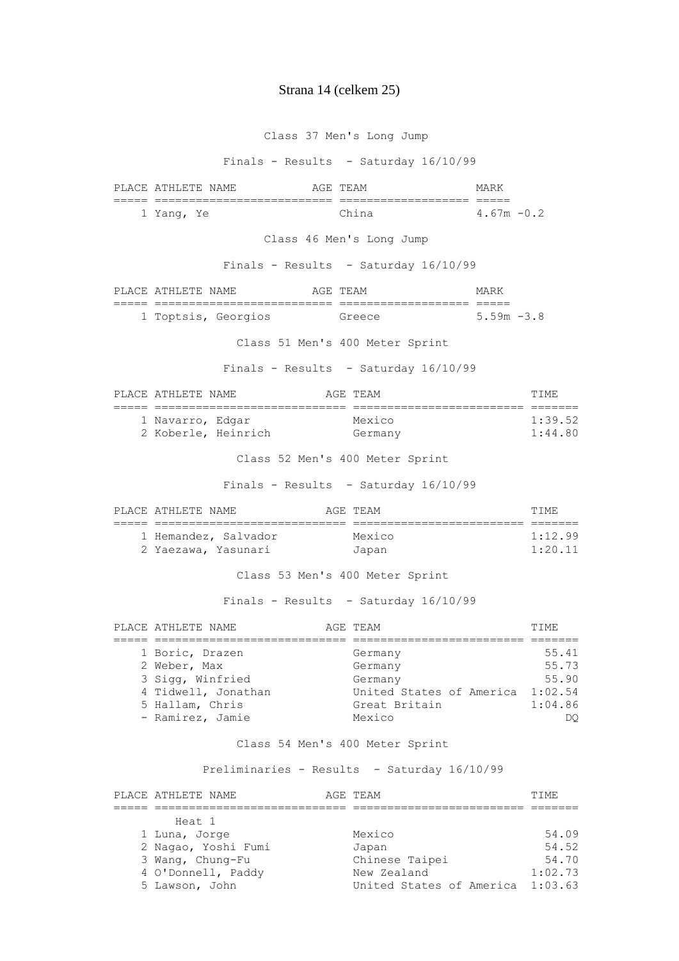#### Strana 14 (celkem 25)

 Class 37 Men's Long Jump Finals - Results - Saturday 16/10/99 PLACE ATHLETE NAME AGE TEAM AGE TEAM ===== ========================== =================== ===== 1 Yang, Ye China 4.67m -0.2 Class 46 Men's Long Jump Finals - Results - Saturday 16/10/99 PLACE ATHLETE NAME AGE TEAM MARK ===== ========================== =================== ===== 1 Toptsis, Georgios Greece 5.59m -3.8 Class 51 Men's 400 Meter Sprint Finals - Results - Saturday 16/10/99 PLACE ATHLETE NAME **AGE TEAM** AGE TEAM **TIME**  ===== ============================ ========================= ======= 1 Navarro, Edgar Mexico 1:39.52 2 Koberle, Heinrich Germany 1:44.80 Class 52 Men's 400 Meter Sprint Finals - Results - Saturday 16/10/99 PLACE ATHLETE NAME **AGE TEAM AGE TEAM TIME**  ===== ============================ ========================= ======= 1 Hemandez, Salvador Mexico 1:12.99 2 Yaezawa, Yasunari Japan 1:20.11 Class 53 Men's 400 Meter Sprint Finals - Results - Saturday 16/10/99 PLACE ATHLETE NAME **AGE TEAM AGE TEAM TIME**  ===== ============================ ========================= ======= 1 Boric, Drazen Germany Germany 55.41<br>2 Weber, Max Germany Germany 55.73 2 Weber, Max Germany 55.73 3 Sigg, Winfried Germany 55.90 4 Tidwell, Jonathan United States of America 1:02.54 5 Hallam, Chris Great Britain 1:04.86 - Ramirez, Jamie Mexico DQ Class 54 Men's 400 Meter Sprint Preliminaries - Results - Saturday 16/10/99 PLACE ATHLETE NAME **AGE TEAM** AGE TRAM TIME ===== ============================ ========================= ======= Heat 1 1 Luna, Jorge Mexico Mexico 54.09 2 Nagao, Yoshi Fumi Japan 54.52 3 Wang, Chung-Fu Chinese Taipei 54.70 4 O'Donnell, Paddy New Zealand 1:02.73 5 Lawson, John United States of America 1:03.63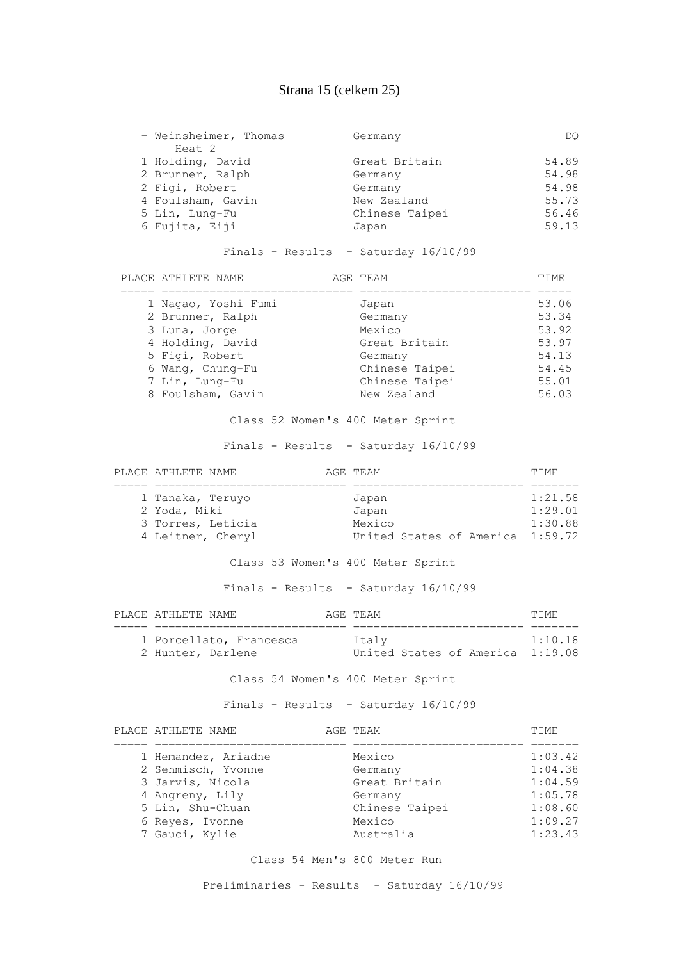## Strana 15 (celkem 25)

| - Weinsheimer, Thomas | Germany        | DO.   |
|-----------------------|----------------|-------|
| Heat 2                |                |       |
| 1 Holding, David      | Great Britain  | 54.89 |
| 2 Brunner, Ralph      | Germany        | 54.98 |
| 2 Figi, Robert        | Germany        | 54.98 |
| 4 Foulsham, Gavin     | New Zealand    | 55.73 |
| 5 Lin, Lung-Fu        | Chinese Taipei | 56.46 |
| 6 Fujita, Eiji        | Japan          | 59.13 |

#### Finals - Results - Saturday 16/10/99

| PLACE ATHLETE NAME  | AGE TEAM       | TTME. |
|---------------------|----------------|-------|
|                     |                |       |
| 1 Nagao, Yoshi Fumi | Japan          | 53.06 |
| 2 Brunner, Ralph    | Germany        | 53.34 |
| 3 Luna, Jorge       | Mexico         | 53.92 |
| 4 Holding, David    | Great Britain  | 53.97 |
| 5 Figi, Robert      | Germany        | 54.13 |
| 6 Wang, Chung-Fu    | Chinese Taipei | 54.45 |
| 7 Lin, Lung-Fu      | Chinese Taipei | 55.01 |
| 8 Foulsham, Gavin   | New Zealand    | 56.03 |

Class 52 Women's 400 Meter Sprint

### Finals - Results - Saturday 16/10/99

| PLACE ATHLETE NAME | AGE TEAM                         | TTME.   |
|--------------------|----------------------------------|---------|
|                    |                                  |         |
| 1 Tanaka, Teruyo   | Japan                            | 1:21.58 |
| 2 Yoda, Miki       | Japan                            | 1:29.01 |
| 3 Torres, Leticia  | Mexico                           | 1:30.88 |
| 4 Leitner, Cheryl  | United States of America 1:59.72 |         |

## Class 53 Women's 400 Meter Sprint

Finals - Results - Saturday 16/10/99

| PLACE ATHLETE NAME                           | AGE TEAM                                  | TTME.   |
|----------------------------------------------|-------------------------------------------|---------|
|                                              |                                           |         |
| 1 Porcellato, Francesca<br>2 Hunter, Darlene | Italv<br>United States of America 1:19.08 | 1:10.18 |

Class 54 Women's 400 Meter Sprint

Finals - Results - Saturday 16/10/99

| PLACE ATHLETE NAME  | AGE TEAM       | TTMF.   |
|---------------------|----------------|---------|
|                     |                |         |
| 1 Hemandez, Ariadne | Mexico         | 1:03.42 |
| 2 Sehmisch, Yvonne  | Germany        | 1:04.38 |
| 3 Jarvis, Nicola    | Great Britain  | 1:04.59 |
| 4 Angreny, Lily     | Germany        | 1:05.78 |
| 5 Lin, Shu-Chuan    | Chinese Taipei | 1:08.60 |
| 6 Reyes, Ivonne     | Mexico         | 1:09.27 |
| 7 Gauci, Kylie      | Australia      | 1:23.43 |

#### Class 54 Men's 800 Meter Run

Preliminaries - Results - Saturday 16/10/99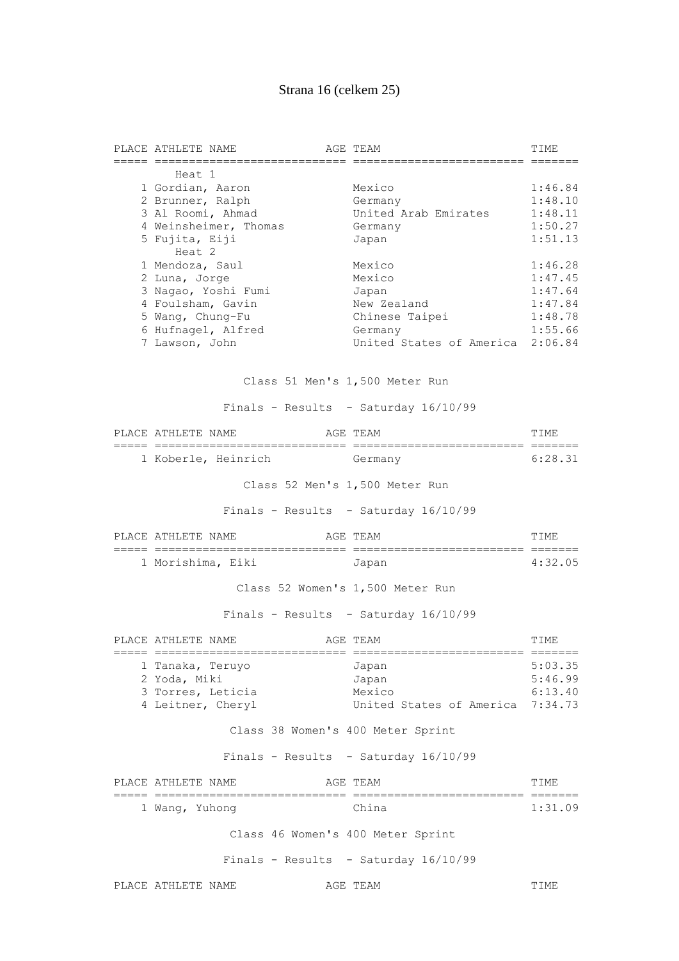# Strana 16 (celkem 25)

| PLACE ATHLETE NAME                 | AGE TEAM                               | TIME    |
|------------------------------------|----------------------------------------|---------|
| Heat 1                             |                                        |         |
| 1 Gordian, Aaron                   | Mexico                                 | 1:46.84 |
| 2 Brunner, Ralph                   | Germany                                | 1:48.10 |
| 3 Al Roomi, Ahmad                  | United Arab Emirates                   | 1:48.11 |
| 4 Weinsheimer, Thomas              | Germany                                | 1:50.27 |
| 5 Fujita, Eiji                     | Japan                                  | 1:51.13 |
| Heat 2                             |                                        |         |
| 1 Mendoza, Saul                    | Mexico                                 | 1:46.28 |
| 2 Luna, Jorge                      | Mexico                                 | 1:47.45 |
| 3 Nagao, Yoshi Fumi                | Japan                                  | 1:47.64 |
| 4 Foulsham, Gavin                  | New Zealand                            | 1:47.84 |
| 5 Wang, Chung-Fu                   | Chinese Taipei                         | 1:48.78 |
| 6 Hufnagel, Alfred                 | Germany                                | 1:55.66 |
| 7 Lawson, John                     | United States of America 2:06.84       |         |
|                                    | Class 51 Men's 1,500 Meter Run         |         |
|                                    | Finals - Results - Saturday 16/10/99   |         |
| PLACE ATHLETE NAME                 | AGE TEAM                               | TIME    |
| 1 Koberle, Heinrich Germany        |                                        | 6:28.31 |
|                                    | Class 52 Men's 1,500 Meter Run         |         |
|                                    | Finals - Results - Saturday 16/10/99   |         |
| PLACE ATHLETE NAME                 | AGE TEAM                               | TIME    |
| 1 Morishima, Eiki                  | Japan                                  | 4:32.05 |
|                                    |                                        |         |
|                                    | Class 52 Women's 1,500 Meter Run       |         |
|                                    | Finals - Results - Saturday $16/10/99$ |         |
| PLACE ATHLETE NAME<br>===== ====== | AGE TEAM                               | TIME    |
| 1 Tanaka, Teruyo                   | Japan                                  | 5:03.35 |
| 2 Yoda, Miki                       | Japan                                  | 5:46.99 |
| 3 Torres, Leticia                  | Mexico                                 | 6:13.40 |
| 4 Leitner, Cheryl                  | United States of America 7:34.73       |         |
|                                    | Class 38 Women's 400 Meter Sprint      |         |
|                                    | Finals - Results - Saturday 16/10/99   |         |
| PLACE ATHLETE NAME                 | AGE TEAM                               | TIME    |
|                                    |                                        |         |
| 1 Wang, Yuhong                     | China                                  | 1:31.09 |
|                                    | Class 46 Women's 400 Meter Sprint      |         |
|                                    | Finals - Results - Saturday 16/10/99   |         |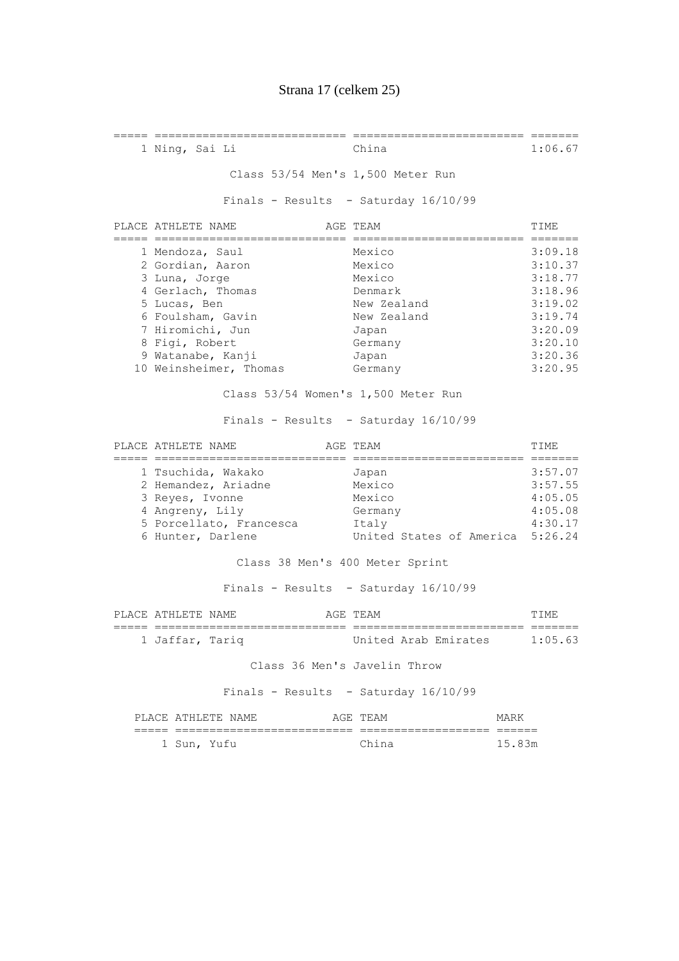===== ============================ ========================= =======

 1 Ning, Sai Li China 1:06.67 Class 53/54 Men's 1,500 Meter Run Finals - Results - Saturday 16/10/99 PLACE ATHLETE NAME AGE TEAM AGE TEAM TIME ===== ============================ ========================= ======= 1 Mendoza, Saul Mexico 3:09.18 2 Gordian, Aaron Mexico 3:10.37 3 Luna, Jorge Mexico 3:18.77 4 Gerlach, Thomas Denmark 3:18.96 5 Lucas, Ben 1997 New Zealand 3:19.02<br>5 Lucas, Ben 1997 New Zealand 3:19.02<br>6 Foulsham, Gavin 1997 New Zealand 3:19.74 6 Foulsham, Gavin New Zealand 3:19.74 7 Hiromichi, Jun Japan 3:20.09 8 Figi, Robert Germany 6 Germany 3:20.10 9 Watanabe, Kanji Japan 1 3:20.36 10 Weinsheimer, Thomas Germany 3:20.95 Class 53/54 Women's 1,500 Meter Run Finals - Results - Saturday 16/10/99 PLACE ATHLETE NAME AGE TEAM AGE TEAM TIME ===== ============================ ========================= ======= 1 Tsuchida, Wakako Japan 3:57.07 2 Hemandez, Ariadne Mexico 3:57.55<br>3 Reyes, Ivonne Mexico 4:05.05<br>2 A 1.05.05 3 Reyes, Ivonne Mexico 4:05.05 4 Angreny, Lily Germany 4:05.08 5 Porcellato, Francesca Italy 4:30.17 6 Hunter, Darlene United States of America 5:26.24 Class 38 Men's 400 Meter Sprint Finals - Results - Saturday 16/10/99 PLACE ATHLETE NAME **AGE TEAM AGE TEAM TIME**  ===== ============================ ========================= ======= 1 Jaffar, Tariq United Arab Emirates 1:05.63 Class 36 Men's Javelin Throw Finals - Results - Saturday 16/10/99 PLACE ATHLETE NAME AGE TEAM MARK ===== ========================== =================== ====== 1 Sun, Yufu China China 15.83m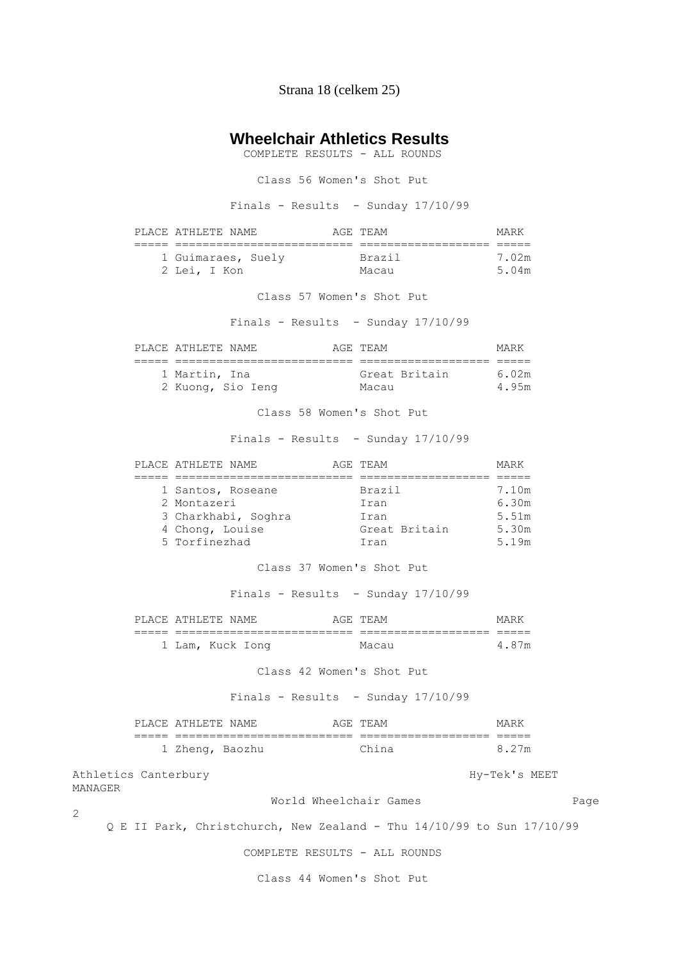Strana 18 (celkem 25)

### **Wheelchair Athletics Results**

COMPLETE RESULTS - ALL ROUNDS

Class 56 Women's Shot Put

Finals - Results - Sunday 17/10/99

| PLACE ATHLETE NAME AGE TEAM                                                                                                     |                                      | MARK                             |
|---------------------------------------------------------------------------------------------------------------------------------|--------------------------------------|----------------------------------|
| 1 Guimaraes, Suely Brazil<br>2 Lei, I Kon                                                                                       | Macau                                | 7.02m<br>5.04m                   |
|                                                                                                                                 | Class 57 Women's Shot Put            |                                  |
|                                                                                                                                 | Finals - Results - Sunday 17/10/99   |                                  |
| PLACE ATHLETE NAME AGE TEAM                                                                                                     |                                      | MARK                             |
| 1 Martin, Ina<br>2 Kuong, Sio Ieng Macau                                                                                        | Great Britain 6.02m                  | 4.95m                            |
|                                                                                                                                 | Class 58 Women's Shot Put            |                                  |
|                                                                                                                                 | Finals - Results - Sunday 17/10/99   |                                  |
| AGE TEAM<br>PLACE ATHLETE NAME                                                                                                  |                                      | MARK                             |
| 1 Santos, Roseane Brazil<br>2 Montazeri<br>3 Charkhabi, Soghra     Iran<br>4 Chong, Louise Great Britain 5.30m<br>5 Torfinezhad | Iran<br>Iran                         | 7.10m<br>6.30m<br>5.51m<br>5.19m |
|                                                                                                                                 | Class 37 Women's Shot Put            |                                  |
|                                                                                                                                 | Finals - Results - Sunday $17/10/99$ |                                  |
| PLACE ATHLETE NAME THAT AGE TEAM                                                                                                |                                      | MARK                             |
| 1 Lam, Kuck Iong       Macau                                                                                                    |                                      | 4.87m                            |
|                                                                                                                                 | Class 42 Women's Shot Put            |                                  |
|                                                                                                                                 |                                      |                                  |

Finals - Results - Sunday 17/10/99

| PLACE ATHLETE NAME |  | AGE TEAM | MARK  |
|--------------------|--|----------|-------|
|                    |  |          |       |
| 1 Zheng, Baozhu    |  | China    | 8.27m |

Athletics Canterbury and the extension of the Hy-Tek's MEET MANAGER

2

World Wheelchair Games **Example 2018** Page

Q E II Park, Christchurch, New Zealand - Thu 14/10/99 to Sun 17/10/99

COMPLETE RESULTS - ALL ROUNDS

Class 44 Women's Shot Put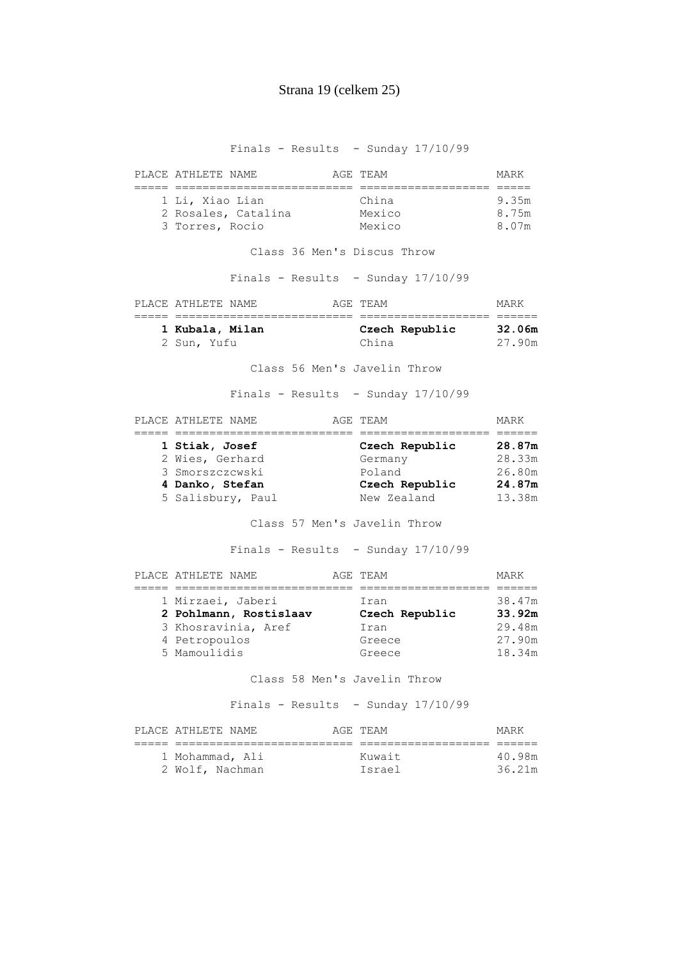Finals - Results - Sunday 17/10/99

| PLACE ATHLETE NAME |                     | AGE TEAM | MARK  |
|--------------------|---------------------|----------|-------|
|                    |                     |          |       |
| 1 Li, Xiao Lian    |                     | China    | 9.35m |
|                    | 2 Rosales, Catalina | Mexico   | 8.75m |
| 3 Torres, Rocio    |                     | Mexico   | 8.07m |

Class 36 Men's Discus Throw

Finals - Results - Sunday 17/10/99

| PLACE ATHLETE NAME | AGE TEAM |                | MARK   |  |
|--------------------|----------|----------------|--------|--|
|                    |          |                |        |  |
| 1 Kubala, Milan    |          | Czech Republic | 32.06m |  |
| 2 Sun, Yufu        | China    |                | 27.90m |  |

Class 56 Men's Javelin Throw

Finals - Results - Sunday 17/10/99

| PLACE ATHLETE NAME | AGE TEAM       | MARK   |
|--------------------|----------------|--------|
|                    |                |        |
| 1 Stiak, Josef     | Czech Republic | 28.87m |
| 2 Wies, Gerhard    | Germany        | 28.33m |
| 3 Smorszczcwski    | Poland         | 26.80m |
| 4 Danko, Stefan    | Czech Republic | 24.87m |
| 5 Salisbury, Paul  | New Zealand    | 13.38m |

Class 57 Men's Javelin Throw

Finals - Results - Sunday 17/10/99

| PLACE ATHLETE NAME     | AGE TEAM       | MARK   |
|------------------------|----------------|--------|
|                        |                |        |
| 1 Mirzaei, Jaberi      | Iran           | 38.47m |
| 2 Pohlmann, Rostislaav | Czech Republic | 33.92m |
| 3 Khosravinia, Aref    | Iran           | 29.48m |
| 4 Petropoulos          | Greece         | 27.90m |
| 5 Mamoulidis           | Greece         | 18.34m |

Class 58 Men's Javelin Throw

| PLACE ATHLETE NAME | AGE TEAM | MARK   |
|--------------------|----------|--------|
|                    |          |        |
| 1 Mohammad, Ali    | Kuwait   | 40.98m |
| 2 Wolf, Nachman    | Israel   | 36.21m |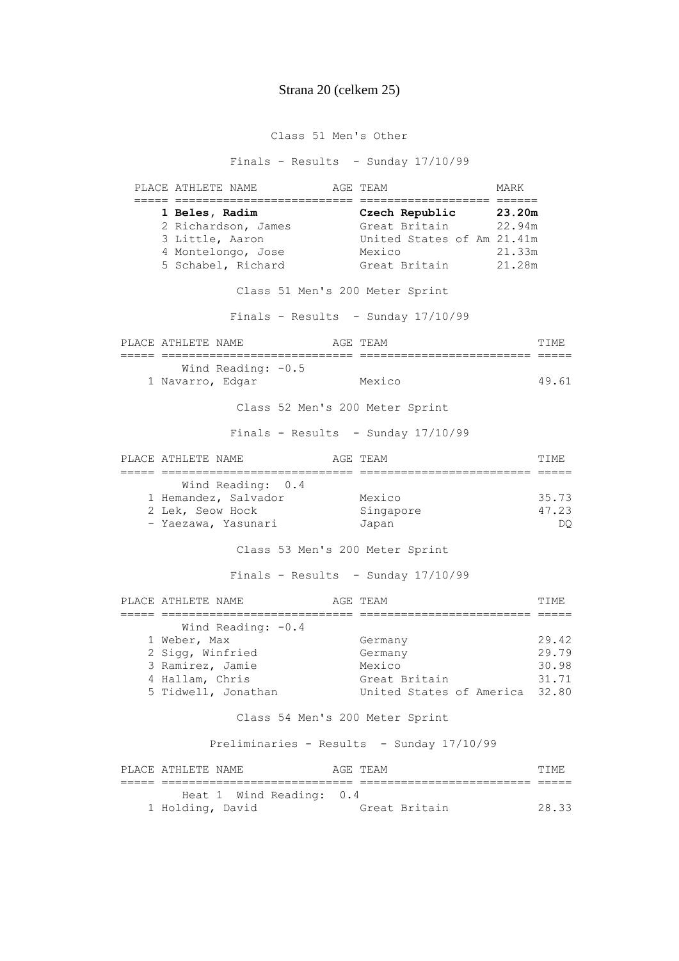Class 51 Men's Other

Finals - Results - Sunday 17/10/99

 PLACE ATHLETE NAME AGE TEAM MARK ===== ========================== =================== ====== **1 Beles, Radim Czech Republic 23.20m**  2 Richardson, James Great Britain 22.94m 3 Little, Aaron United States of Am 21.41m<br>4 Montelongo, Jose Mexico 21.33m<br>5 Schabel, Richard Great Britain 21.28m 4 Montelongo, Jose Mexico 21.33m 5 Schabel, Richard Great Britain 21.28m Class 51 Men's 200 Meter Sprint Finals - Results - Sunday  $17/10/99$ PLACE ATHLETE NAME **AGE TEAM AGE TEAM TIME**  ===== ============================ ========================= ===== Wind Reading:  $-0.5$  1 Navarro, Edgar Mexico 49.61 Class 52 Men's 200 Meter Sprint Finals - Results - Sunday 17/10/99 PLACE ATHLETE NAME AGE TEAM AGE TEAM TIME ===== ============================ ========================= ===== Wind Reading: 0.4 1 Hemandez, Salvador Mexico 35.73 2 Lek, Seow Hock - Yaezawa, Yasunari Japan DQ Class 53 Men's 200 Meter Sprint Finals - Results - Sunday 17/10/99 PLACE ATHLETE NAME AGE TEAM TIME ===== ============================ ========================= ===== Wind Reading:  $-0.4$  1 Weber, Max Germany 29.42 2 Sigg, Winfried Germany 29.79 3 Ramirez, Jamie Mexico 30.98 a component control of the control of the control of the control of the control of the control of the control o<br>4 Hallam, Chris Great Britain 31.71 5 Tidwell, Jonathan United States of America 32.80 Class 54 Men's 200 Meter Sprint Preliminaries - Results - Sunday 17/10/99 PLACE ATHLETE NAME **AGE TEAM AGE TEAM TIME**  ===== ============================ ========================= ===== Heat 1 Wind Reading: 0.4 1 Holding, David Great Britain 28.33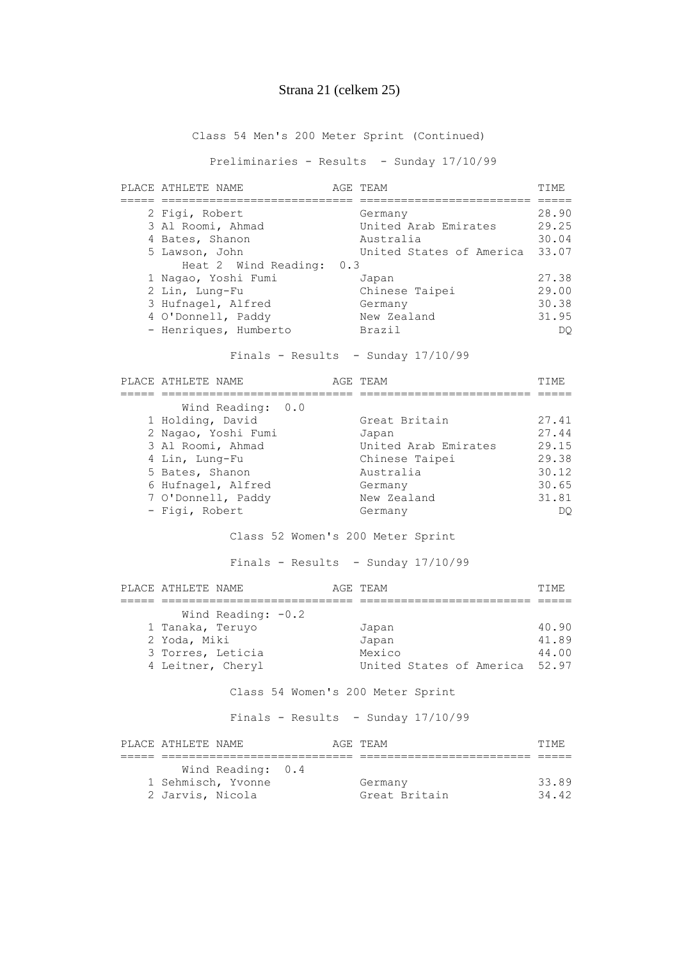### Strana 21 (celkem 25)

Class 54 Men's 200 Meter Sprint (Continued)

Preliminaries - Results - Sunday 17/10/99

| PLACE ATHLETE NAME                              | AGE TEAM                             | TTME. |
|-------------------------------------------------|--------------------------------------|-------|
| 2 Figi, Robert                                  | Germany                              | 28.90 |
| 3 Al Roomi, Ahmad                               | United Arab Emirates                 | 29.25 |
| 4 Bates, Shanon                                 | Australia                            | 30.04 |
| 5 Lawson, John                                  | United States of America 33.07       |       |
| Heat 2 Wind Reading: 0.3                        |                                      |       |
| 1 Nagao, Yoshi Fumi                             | Japan                                | 27.38 |
| 2 Lin, Lung-Fu                                  | Chinese Taipei                       | 29.00 |
| 3 Hufnagel, Alfred                              | Germany                              | 30.38 |
|                                                 | New Zealand                          | 31.95 |
| 4 O'Donnell, Paddy                              |                                      |       |
| - Henriques, Humberto                           | Brazil                               | DQ    |
|                                                 | Finals - Results - Sunday $17/10/99$ |       |
| PLACE ATHLETE NAME                              | AGE TEAM                             | TIME  |
| ==========================<br>Wind Reading: 0.0 |                                      |       |
| 1 Holding, David                                | Great Britain                        | 27.41 |
| 2 Nagao, Yoshi Fumi                             | Japan                                | 27.44 |
| 3 Al Roomi, Ahmad                               | United Arab Emirates                 | 29.15 |
| 4 Lin, Lung-Fu                                  | Chinese Taipei                       | 29.38 |
| 5 Bates, Shanon                                 | Australia                            | 30.12 |

Class 52 Women's 200 Meter Sprint

- Figi, Robert 1988, Germany 1988, DQ

 6 Hufnagel, Alfred Germany 30.65 7 O'Donnell, Paddy New Zealand 31.81

Finals - Results - Sunday 17/10/99

| PLACE ATHLETE NAME |                      | AGE TEAM |  |                                | TTME. |
|--------------------|----------------------|----------|--|--------------------------------|-------|
|                    |                      |          |  |                                |       |
|                    | Wind Reading: $-0.2$ |          |  |                                |       |
| 1 Tanaka, Teruyo   |                      | Japan    |  |                                | 40.90 |
| 2 Yoda, Miki       |                      | Japan    |  |                                | 41.89 |
| 3 Torres, Leticia  |                      | Mexico   |  |                                | 44.00 |
| 4 Leitner, Cheryl  |                      |          |  | United States of America 52.97 |       |

Class 54 Women's 200 Meter Sprint

| PLACE ATHLETE NAME |                    |  | AGE TEAM      | TTME. |
|--------------------|--------------------|--|---------------|-------|
|                    |                    |  |               |       |
|                    | Wind Reading: 0.4  |  |               |       |
|                    | 1 Sehmisch, Yvonne |  | Germany       | 33.89 |
| 2 Jarvis, Nicola   |                    |  | Great Britain | 3442  |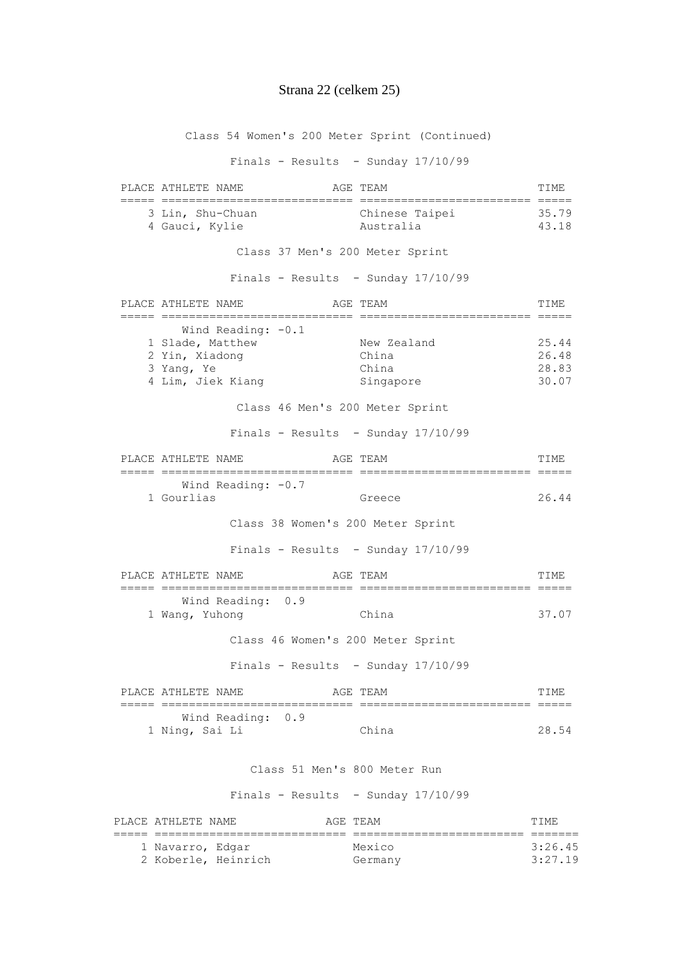#### Strana 22 (celkem 25)

Class 54 Women's 200 Meter Sprint (Continued) Finals - Results - Sunday 17/10/99 PLACE ATHLETE NAME **AGE TEAM AGE TEAM TIME**  ===== ============================ ========================= ===== 3 Lin, Shu-Chuan Chinese Taipei 35.79 4 Gauci, Kylie Australia 43.18 Class 37 Men's 200 Meter Sprint Finals - Results - Sunday 17/10/99 PLACE ATHLETE NAME **AGE TEAM AGE TEAM TIME**  ===== ============================ ========================= ===== Wind Reading:  $-0.1$  1 Slade, Matthew New Zealand 25.44 2 Yin, Xiadong China 26.48 3 Yang, Ye China 28.83 4 Lim, Jiek Kiang Singapore 30.07 Class 46 Men's 200 Meter Sprint Finals - Results - Sunday  $17/10/99$ PLACE ATHLETE NAME AGE TEAM AGE THAN ===== ============================ ========================= ===== Wind Reading:  $-0.7$  1 Gourlias Greece 26.44 Class 38 Women's 200 Meter Sprint Finals - Results - Sunday  $17/10/99$ PLACE ATHLETE NAME **AGE TEAM AGE TEAM TIME**  ===== ============================ ========================= ===== Wind Reading: 0.9 1 Wang, Yuhong China 37.07 Class 46 Women's 200 Meter Sprint Finals - Results - Sunday 17/10/99 PLACE ATHLETE NAME **AGE TEAM AGE TEAM TIME**  ===== ============================ ========================= ===== Wind Reading: 0.9 1 Ning, Sai Li China 28.54 Class 51 Men's 800 Meter Run Finals - Results - Sunday  $17/10/99$ PLACE ATHLETE NAME **AGE TEAM AGE TEAM TIME**  ===== ============================ ========================= ======= 1 Navarro, Edgar Mexico 3:26.45

2 Koberle, Heinrich Germany 3:27.19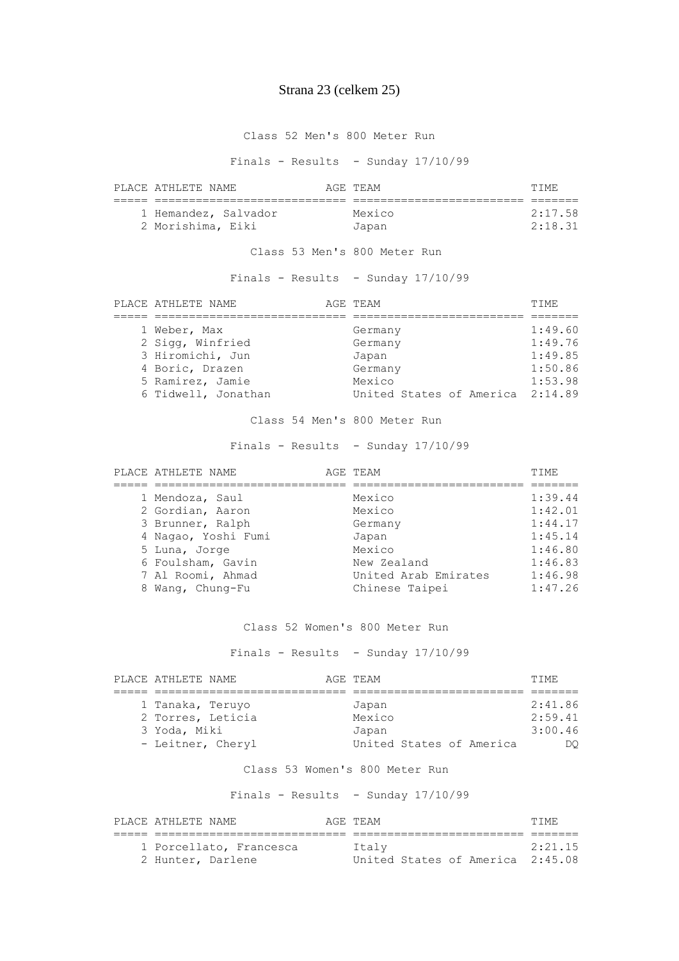## Strana 23 (celkem 25)

#### Class 52 Men's 800 Meter Run

Finals - Results - Sunday 17/10/99

| PLACE ATHLETE NAME   | AGE TEAM | TTME.   |
|----------------------|----------|---------|
|                      |          |         |
| 1 Hemandez, Salvador | Mexico   | 2:17.58 |
| 2 Morishima, Eiki    | Japan    | 2:18.31 |

#### Class 53 Men's 800 Meter Run

Finals - Results - Sunday 17/10/99

| PLACE ATHLETE NAME  | AGE TEAM                         | TTMF.   |
|---------------------|----------------------------------|---------|
|                     |                                  |         |
| 1 Weber, Max        | Germany                          | 1:49.60 |
| 2 Sigg, Winfried    | Germany                          | 1:49.76 |
| 3 Hiromichi, Jun    | Japan                            | 1:49.85 |
| 4 Boric, Drazen     | Germany                          | 1:50.86 |
| 5 Ramirez, Jamie    | Mexico                           | 1:53.98 |
| 6 Tidwell, Jonathan | United States of America 2:14.89 |         |

Class 54 Men's 800 Meter Run

Finals - Results - Sunday 17/10/99

|   | PLACE ATHLETE NAME  | AGE TEAM             | TTME.   |
|---|---------------------|----------------------|---------|
|   |                     |                      |         |
|   | 1 Mendoza, Saul     | Mexico               | 1:39.44 |
|   | 2 Gordian, Aaron    | Mexico               | 1:42.01 |
|   | 3 Brunner, Ralph    | Germany              | 1:44.17 |
|   | 4 Nagao, Yoshi Fumi | Japan                | 1:45.14 |
|   | 5 Luna, Jorge       | Mexico               | 1:46.80 |
|   | 6 Foulsham, Gavin   | New Zealand          | 1:46.83 |
|   | 7 Al Roomi, Ahmad   | United Arab Emirates | 1:46.98 |
| 8 | Wang, Chung-Fu      | Chinese Taipei       | 1:47.26 |

#### Class 52 Women's 800 Meter Run

Finals - Results - Sunday 17/10/99

| PLACE ATHLETE NAME |  | AGE TEAM                 |  | TTME.   |
|--------------------|--|--------------------------|--|---------|
|                    |  |                          |  |         |
| 1 Tanaka, Teruyo   |  | Japan                    |  | 2:41.86 |
| 2 Torres, Leticia  |  | Mexico                   |  | 2:59.41 |
| 3 Yoda, Miki       |  | Japan                    |  | 3:00.46 |
| - Leitner, Cheryl  |  | United States of America |  | DO      |

#### Class 53 Women's 800 Meter Run

| PLACE ATHLETE NAME      | AGE TEAM                         | TTME.   |
|-------------------------|----------------------------------|---------|
|                         |                                  |         |
| 1 Porcellato, Francesca | Italv                            | 2:21.15 |
| 2 Hunter, Darlene       | United States of America 2:45.08 |         |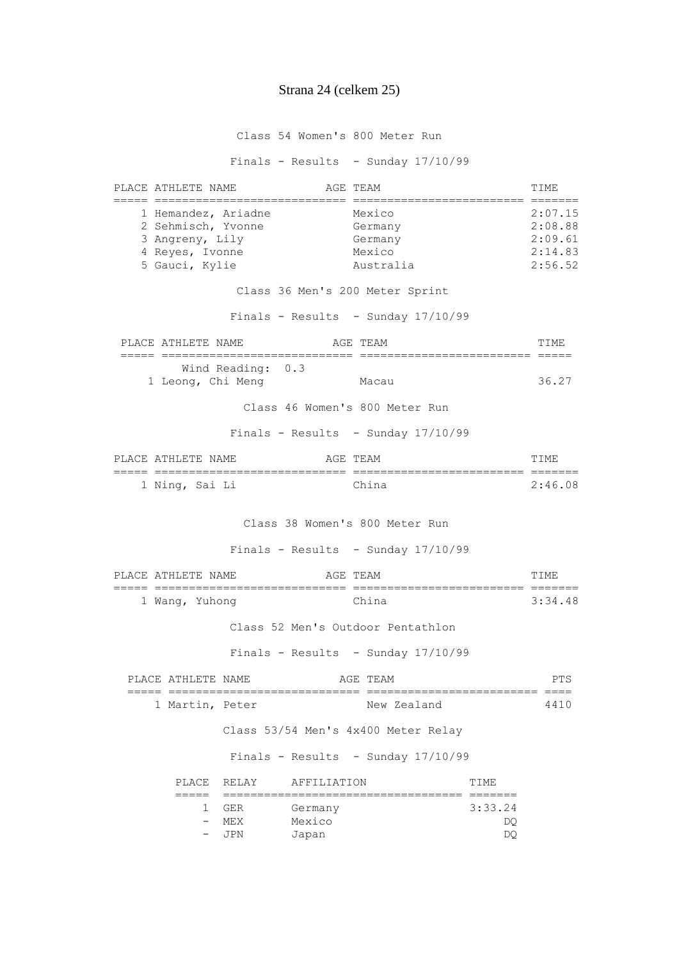#### Strana 24 (celkem 25)

Class 54 Women's 800 Meter Run

Finals - Results - Sunday 17/10/99

PLACE ATHLETE NAME **AGE TEAM AGE TEAM TIME**  ===== ============================ ========================= ======= 1 Hemandez, Ariadne Mexico 2:07.15 2 Sehmisch, Yvonne Germany 66 Germany 2:08.88 3 Angreny, Lily Germany 2:09.61 4 Reyes, Ivonne Mexico 2:14.83 5 Gauci, Kylie Australia 2:56.52 Class 36 Men's 200 Meter Sprint Finals - Results - Sunday  $17/10/99$ PLACE ATHLETE NAME **AGE TEAM** AGE TEAM **TIME**  ===== ============================ ========================= ===== Wind Reading: 0.3 1 Leong, Chi Meng Macau 36.27 Class 46 Women's 800 Meter Run Finals - Results - Sunday  $17/10/99$ PLACE ATHLETE NAME AGE TEAM AGE TEAM TIME ===== ============================ ========================= ======= 1 Ning, Sai Li China 2:46.08 Class 38 Women's 800 Meter Run Finals - Results - Sunday  $17/10/99$ PLACE ATHLETE NAME **AGE TEAM AGE TEAM TIME**  ===== ============================ ========================= ======= 1 Wang, Yuhong China 3:34.48 Class 52 Men's Outdoor Pentathlon Finals - Results - Sunday 17/10/99 PLACE ATHLETE NAME AGE TEAM AGE TEAM PTS ===== ============================ ========================= ==== 1 Martin, Peter New Zealand 4410 Class 53/54 Men's 4x400 Meter Relay Finals - Results - Sunday 17/10/99 PLACE RELAY AFFILIATION TIME ===== =================================== ======= 1 GER Germany 3:33.24 - MEX Mexico DQ - JPN Japan DQ